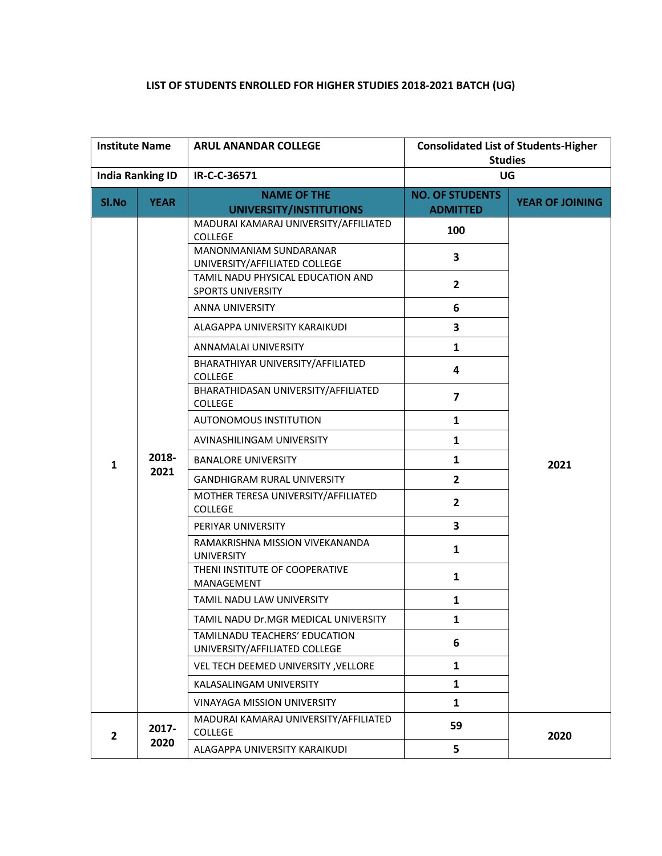## **LIST OF STUDENTS ENROLLED FOR HIGHER STUDIES 2018-2021 BATCH (UG)**

| <b>Institute Name</b>   |               | <b>ARUL ANANDAR COLLEGE</b>                                    | <b>Consolidated List of Students-Higher</b><br><b>Studies</b> |                        |
|-------------------------|---------------|----------------------------------------------------------------|---------------------------------------------------------------|------------------------|
|                         |               | IR-C-C-36571                                                   |                                                               | UG                     |
| <b>India Ranking ID</b> |               |                                                                |                                                               |                        |
| SI.No                   | <b>YEAR</b>   | <b>NAME OF THE</b><br>UNIVERSITY/INSTITUTIONS                  | <b>NO. OF STUDENTS</b><br><b>ADMITTED</b>                     | <b>YEAR OF JOINING</b> |
|                         |               | MADURAI KAMARAJ UNIVERSITY/AFFILIATED<br><b>COLLEGE</b>        | 100                                                           |                        |
|                         |               | MANONMANIAM SUNDARANAR<br>UNIVERSITY/AFFILIATED COLLEGE        | 3                                                             |                        |
|                         |               | TAMIL NADU PHYSICAL EDUCATION AND<br><b>SPORTS UNIVERSITY</b>  | $\overline{2}$                                                |                        |
|                         |               | ANNA UNIVERSITY                                                | 6                                                             |                        |
|                         |               | ALAGAPPA UNIVERSITY KARAIKUDI                                  | 3                                                             |                        |
|                         |               | ANNAMALAI UNIVERSITY                                           | $\mathbf{1}$                                                  |                        |
| 1                       | 2018-<br>2021 | BHARATHIYAR UNIVERSITY/AFFILIATED<br><b>COLLEGE</b>            | 4                                                             |                        |
|                         |               | BHARATHIDASAN UNIVERSITY/AFFILIATED<br><b>COLLEGE</b>          | 7                                                             |                        |
|                         |               | AUTONOMOUS INSTITUTION                                         | $\mathbf{1}$                                                  |                        |
|                         |               | AVINASHILINGAM UNIVERSITY                                      | $\mathbf{1}$                                                  |                        |
|                         |               | <b>BANALORE UNIVERSITY</b>                                     | $\mathbf{1}$                                                  | 2021                   |
|                         |               | <b>GANDHIGRAM RURAL UNIVERSITY</b>                             | $\mathbf{2}$                                                  |                        |
|                         |               | MOTHER TERESA UNIVERSITY/AFFILIATED<br><b>COLLEGE</b>          | $\overline{2}$                                                |                        |
|                         |               | PERIYAR UNIVERSITY                                             | 3                                                             |                        |
|                         |               | RAMAKRISHNA MISSION VIVEKANANDA<br><b>UNIVERSITY</b>           | $\mathbf{1}$                                                  |                        |
|                         |               | THENI INSTITUTE OF COOPERATIVE<br>MANAGEMENT                   | 1                                                             |                        |
|                         |               | TAMIL NADU LAW UNIVERSITY                                      | $\mathbf{1}$                                                  |                        |
|                         |               | TAMIL NADU Dr.MGR MEDICAL UNIVERSITY                           | 1                                                             |                        |
|                         |               | TAMILNADU TEACHERS' EDUCATION<br>UNIVERSITY/AFFILIATED COLLEGE | 6                                                             |                        |
|                         |               | VEL TECH DEEMED UNIVERSITY, VELLORE                            | 1                                                             |                        |
|                         |               | KALASALINGAM UNIVERSITY                                        | $\mathbf{1}$                                                  |                        |
|                         |               | <b>VINAYAGA MISSION UNIVERSITY</b>                             | $\mathbf{1}$                                                  |                        |
| $\overline{2}$          | 2017-         | MADURAI KAMARAJ UNIVERSITY/AFFILIATED<br><b>COLLEGE</b>        | 59                                                            | 2020                   |
|                         | 2020          | ALAGAPPA UNIVERSITY KARAIKUDI                                  | 5                                                             |                        |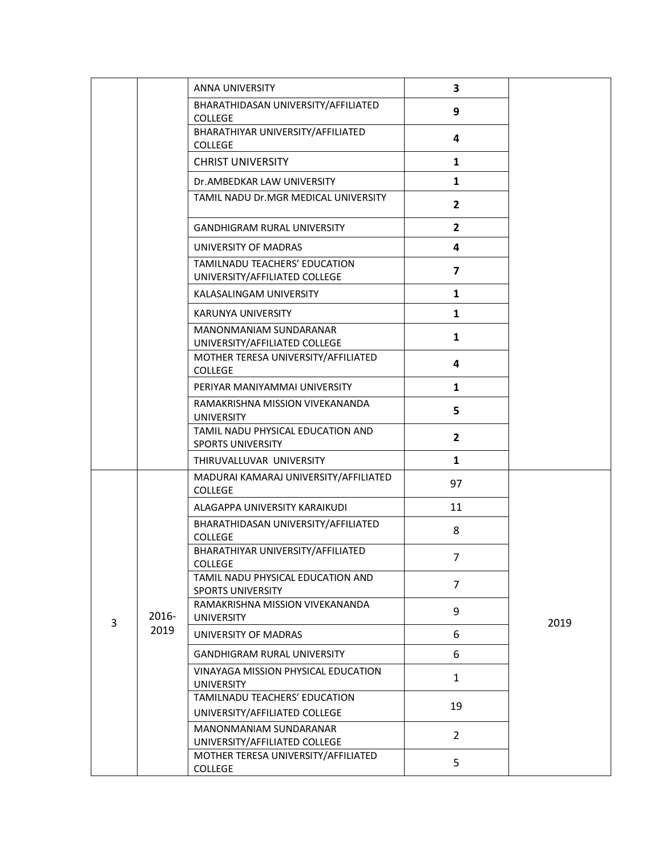|   |       | ANNA UNIVERSITY                                                | 3              |      |
|---|-------|----------------------------------------------------------------|----------------|------|
|   |       | BHARATHIDASAN UNIVERSITY/AFFILIATED<br><b>COLLEGE</b>          | 9              |      |
|   |       | BHARATHIYAR UNIVERSITY/AFFILIATED<br><b>COLLEGE</b>            | 4              |      |
|   |       | <b>CHRIST UNIVERSITY</b>                                       | $\mathbf{1}$   |      |
|   |       | Dr.AMBEDKAR LAW UNIVERSITY                                     | $\mathbf{1}$   |      |
|   |       | TAMIL NADU Dr.MGR MEDICAL UNIVERSITY                           | $\overline{2}$ |      |
|   |       | <b>GANDHIGRAM RURAL UNIVERSITY</b>                             | $\mathbf{2}$   |      |
|   |       | UNIVERSITY OF MADRAS                                           | 4              |      |
|   |       | TAMILNADU TEACHERS' EDUCATION<br>UNIVERSITY/AFFILIATED COLLEGE | $\overline{7}$ |      |
|   |       | KALASALINGAM UNIVERSITY                                        | $\mathbf{1}$   |      |
|   |       | KARUNYA UNIVERSITY                                             | $\mathbf{1}$   |      |
|   |       | MANONMANIAM SUNDARANAR<br>UNIVERSITY/AFFILIATED COLLEGE        | $\mathbf{1}$   |      |
|   |       | MOTHER TERESA UNIVERSITY/AFFILIATED<br><b>COLLEGE</b>          | 4              |      |
|   |       | PERIYAR MANIYAMMAI UNIVERSITY                                  | $\mathbf{1}$   |      |
|   |       | RAMAKRISHNA MISSION VIVEKANANDA<br><b>UNIVERSITY</b>           | 5              |      |
|   |       | TAMIL NADU PHYSICAL EDUCATION AND<br><b>SPORTS UNIVERSITY</b>  | $\overline{2}$ |      |
|   |       | THIRUVALLUVAR UNIVERSITY                                       | $\mathbf{1}$   |      |
|   |       | MADURAI KAMARAJ UNIVERSITY/AFFILIATED<br><b>COLLEGE</b>        | 97             |      |
|   |       | ALAGAPPA UNIVERSITY KARAIKUDI                                  | 11             |      |
|   |       | BHARATHIDASAN UNIVERSITY/AFFILIATED<br><b>COLLEGE</b>          | 8              |      |
|   |       | BHARATHIYAR UNIVERSITY/AFFILIATED<br>COLLEGE                   | 7              |      |
|   |       | TAMIL NADU PHYSICAL EDUCATION AND<br><b>SPORTS UNIVERSITY</b>  | $\overline{7}$ |      |
| 3 | 2016- | RAMAKRISHNA MISSION VIVEKANANDA<br><b>UNIVERSITY</b>           | 9              | 2019 |
|   | 2019  | UNIVERSITY OF MADRAS                                           | 6              |      |
|   |       | <b>GANDHIGRAM RURAL UNIVERSITY</b>                             | 6              |      |
|   |       | VINAYAGA MISSION PHYSICAL EDUCATION<br><b>UNIVERSITY</b>       | $\mathbf{1}$   |      |
|   |       | TAMILNADU TEACHERS' EDUCATION<br>UNIVERSITY/AFFILIATED COLLEGE | 19             |      |
|   |       | MANONMANIAM SUNDARANAR<br>UNIVERSITY/AFFILIATED COLLEGE        | $\overline{2}$ |      |
|   |       | MOTHER TERESA UNIVERSITY/AFFILIATED<br>COLLEGE                 | 5              |      |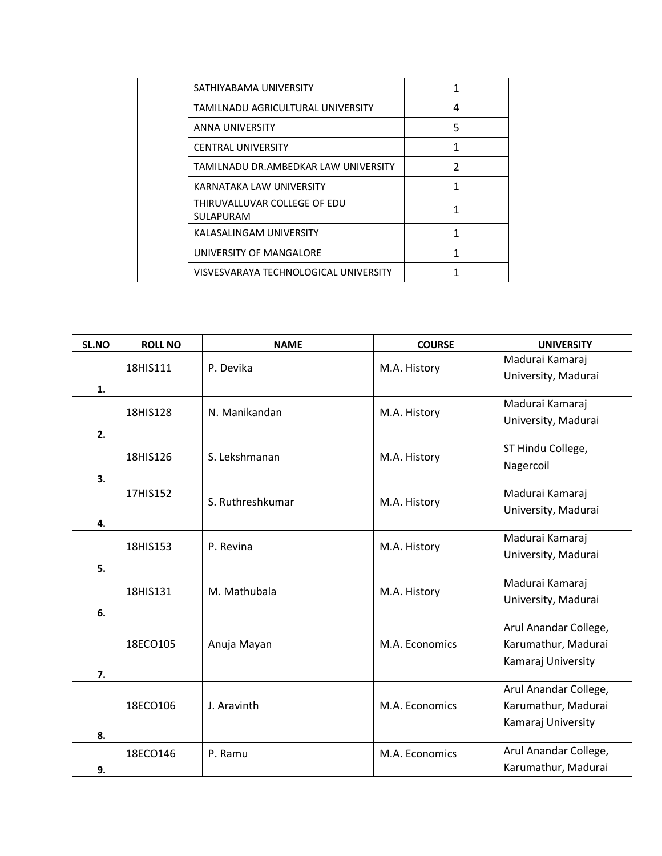| SATHIYABAMA UNIVERSITY                           | 1 |  |
|--------------------------------------------------|---|--|
| TAMILNADU AGRICULTURAL UNIVERSITY                | 4 |  |
| <b>ANNA UNIVERSITY</b>                           | 5 |  |
| <b>CENTRAL UNIVERSITY</b>                        |   |  |
| TAMILNADU DR.AMBEDKAR LAW UNIVERSITY             | 2 |  |
| KARNATAKA LAW UNIVERSITY                         |   |  |
| THIRUVALLUVAR COLLEGE OF EDU<br><b>SULAPURAM</b> |   |  |
| KALASALINGAM UNIVERSITY                          |   |  |
| UNIVERSITY OF MANGALORE                          |   |  |
| VISVESVARAYA TECHNOLOGICAL UNIVERSITY            |   |  |

| SL.NO | <b>ROLL NO</b> | <b>NAME</b>      | <b>COURSE</b>  | <b>UNIVERSITY</b>     |
|-------|----------------|------------------|----------------|-----------------------|
|       | 18HIS111       | P. Devika        | M.A. History   | Madurai Kamaraj       |
|       |                |                  |                | University, Madurai   |
| 1.    |                |                  |                |                       |
|       | 18HIS128       | N. Manikandan    | M.A. History   | Madurai Kamaraj       |
| 2.    |                |                  |                | University, Madurai   |
|       |                |                  |                | ST Hindu College,     |
|       | 18HIS126       | S. Lekshmanan    | M.A. History   | Nagercoil             |
| 3.    |                |                  |                |                       |
|       | 17HIS152       | S. Ruthreshkumar |                | Madurai Kamaraj       |
|       |                |                  | M.A. History   | University, Madurai   |
| 4.    |                |                  |                |                       |
|       | 18HIS153       | P. Revina        | M.A. History   | Madurai Kamaraj       |
|       |                |                  |                | University, Madurai   |
| 5.    |                |                  |                | Madurai Kamaraj       |
|       | 18HIS131       | M. Mathubala     | M.A. History   | University, Madurai   |
| 6.    |                |                  |                |                       |
|       |                |                  |                | Arul Anandar College, |
|       | 18ECO105       | Anuja Mayan      | M.A. Economics | Karumathur, Madurai   |
|       |                |                  |                | Kamaraj University    |
| 7.    |                |                  |                |                       |
|       |                |                  |                | Arul Anandar College, |
|       | 18ECO106       | J. Aravinth      | M.A. Economics | Karumathur, Madurai   |
|       |                |                  |                | Kamaraj University    |
| 8.    |                |                  |                |                       |
|       | 18ECO146       | P. Ramu          | M.A. Economics | Arul Anandar College, |
| 9.    |                |                  |                | Karumathur, Madurai   |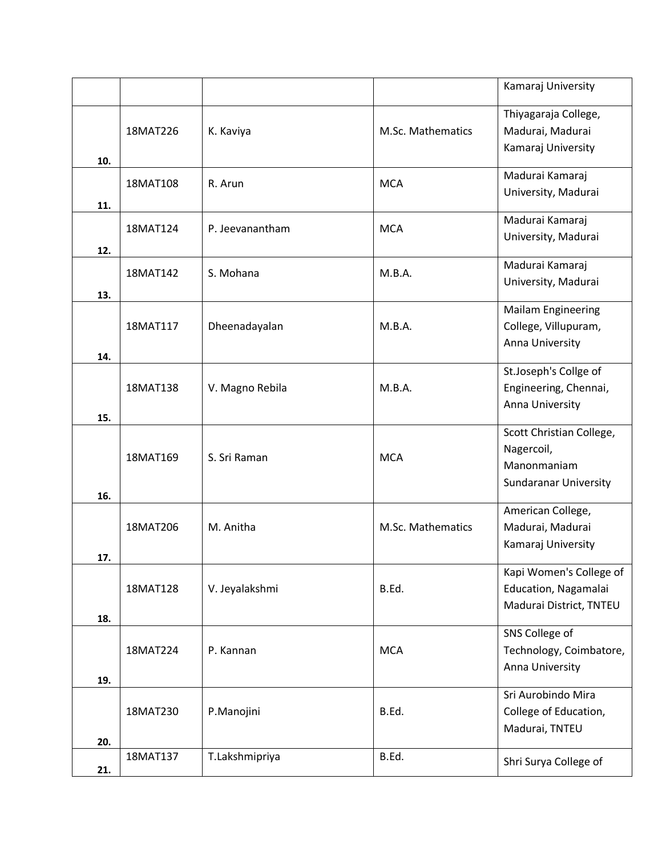|     |          |                 |                   | Kamaraj University                                                                    |
|-----|----------|-----------------|-------------------|---------------------------------------------------------------------------------------|
| 10. | 18MAT226 | K. Kaviya       | M.Sc. Mathematics | Thiyagaraja College,<br>Madurai, Madurai<br>Kamaraj University                        |
| 11. | 18MAT108 | R. Arun         | <b>MCA</b>        | Madurai Kamaraj<br>University, Madurai                                                |
| 12. | 18MAT124 | P. Jeevanantham | <b>MCA</b>        | Madurai Kamaraj<br>University, Madurai                                                |
| 13. | 18MAT142 | S. Mohana       | M.B.A.            | Madurai Kamaraj<br>University, Madurai                                                |
| 14. | 18MAT117 | Dheenadayalan   | M.B.A.            | <b>Mailam Engineering</b><br>College, Villupuram,<br>Anna University                  |
| 15. | 18MAT138 | V. Magno Rebila | M.B.A.            | St.Joseph's Collge of<br>Engineering, Chennai,<br>Anna University                     |
| 16. | 18MAT169 | S. Sri Raman    | <b>MCA</b>        | Scott Christian College,<br>Nagercoil,<br>Manonmaniam<br><b>Sundaranar University</b> |
| 17. | 18MAT206 | M. Anitha       | M.Sc. Mathematics | American College,<br>Madurai, Madurai<br>Kamaraj University                           |
| 18. | 18MAT128 | V. Jeyalakshmi  | B.Ed.             | Kapi Women's College of<br>Education, Nagamalai<br>Madurai District, TNTEU            |
| 19. | 18MAT224 | P. Kannan       | <b>MCA</b>        | SNS College of<br>Technology, Coimbatore,<br>Anna University                          |
| 20. | 18MAT230 | P.Manojini      | B.Ed.             | Sri Aurobindo Mira<br>College of Education,<br>Madurai, TNTEU                         |
| 21. | 18MAT137 | T.Lakshmipriya  | B.Ed.             | Shri Surya College of                                                                 |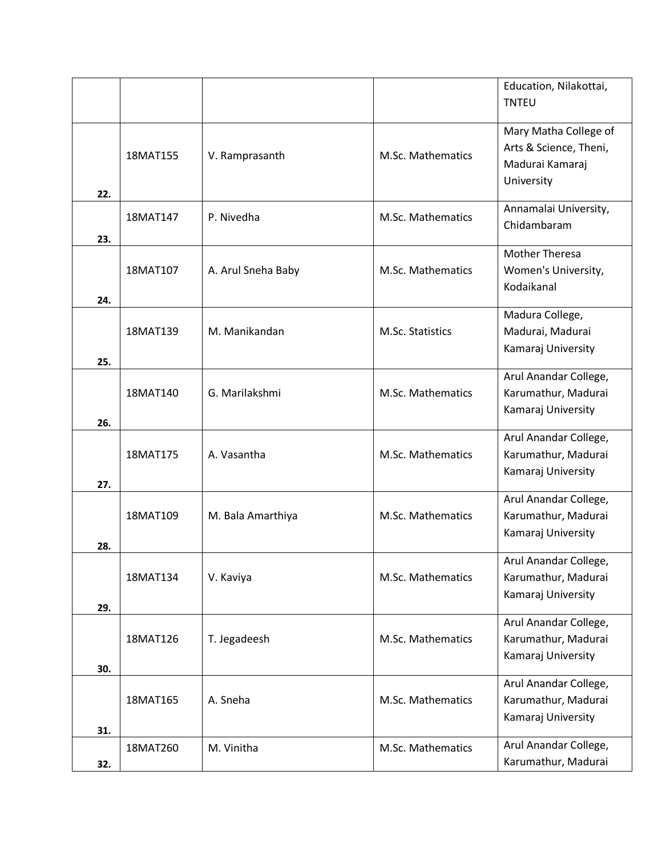|     |          |                    |                   | Education, Nilakottai, |
|-----|----------|--------------------|-------------------|------------------------|
|     |          |                    |                   | <b>TNTEU</b>           |
|     |          |                    |                   |                        |
|     |          |                    |                   | Mary Matha College of  |
|     | 18MAT155 | V. Ramprasanth     | M.Sc. Mathematics | Arts & Science, Theni, |
|     |          |                    |                   | Madurai Kamaraj        |
|     |          |                    |                   | University             |
| 22. |          |                    |                   |                        |
|     | 18MAT147 | P. Nivedha         | M.Sc. Mathematics | Annamalai University,  |
| 23. |          |                    |                   | Chidambaram            |
|     |          |                    |                   | <b>Mother Theresa</b>  |
|     | 18MAT107 | A. Arul Sneha Baby | M.Sc. Mathematics | Women's University,    |
|     |          |                    |                   | Kodaikanal             |
| 24. |          |                    |                   |                        |
|     |          |                    |                   | Madura College,        |
|     | 18MAT139 | M. Manikandan      | M.Sc. Statistics  | Madurai, Madurai       |
|     |          |                    |                   | Kamaraj University     |
| 25. |          |                    |                   |                        |
|     |          |                    |                   | Arul Anandar College,  |
|     | 18MAT140 | G. Marilakshmi     | M.Sc. Mathematics | Karumathur, Madurai    |
|     |          |                    |                   | Kamaraj University     |
| 26. |          |                    |                   |                        |
|     |          |                    |                   | Arul Anandar College,  |
|     | 18MAT175 | A. Vasantha        | M.Sc. Mathematics | Karumathur, Madurai    |
| 27. |          |                    |                   | Kamaraj University     |
|     |          |                    |                   | Arul Anandar College,  |
|     | 18MAT109 | M. Bala Amarthiya  | M.Sc. Mathematics | Karumathur, Madurai    |
|     |          |                    |                   | Kamaraj University     |
| 28. |          |                    |                   |                        |
|     |          |                    |                   | Arul Anandar College,  |
|     | 18MAT134 | V. Kaviya          | M.Sc. Mathematics | Karumathur, Madurai    |
|     |          |                    |                   | Kamaraj University     |
| 29. |          |                    |                   |                        |
|     |          |                    |                   | Arul Anandar College,  |
|     | 18MAT126 | T. Jegadeesh       | M.Sc. Mathematics | Karumathur, Madurai    |
|     |          |                    |                   | Kamaraj University     |
| 30. |          |                    |                   | Arul Anandar College,  |
|     | 18MAT165 | A. Sneha           | M.Sc. Mathematics | Karumathur, Madurai    |
|     |          |                    |                   |                        |
| 31. |          |                    |                   | Kamaraj University     |
|     | 18MAT260 | M. Vinitha         | M.Sc. Mathematics | Arul Anandar College,  |
| 32. |          |                    |                   | Karumathur, Madurai    |
|     |          |                    |                   |                        |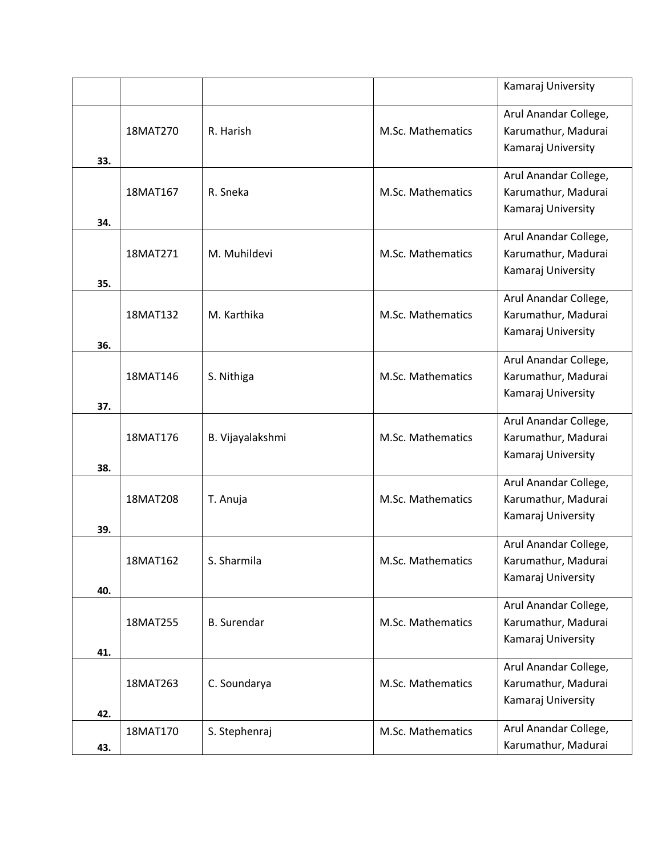|     |          |                    |                   | Kamaraj University                                                 |
|-----|----------|--------------------|-------------------|--------------------------------------------------------------------|
| 33. | 18MAT270 | R. Harish          | M.Sc. Mathematics | Arul Anandar College,<br>Karumathur, Madurai<br>Kamaraj University |
| 34. | 18MAT167 | R. Sneka           | M.Sc. Mathematics | Arul Anandar College,<br>Karumathur, Madurai<br>Kamaraj University |
| 35. | 18MAT271 | M. Muhildevi       | M.Sc. Mathematics | Arul Anandar College,<br>Karumathur, Madurai<br>Kamaraj University |
| 36. | 18MAT132 | M. Karthika        | M.Sc. Mathematics | Arul Anandar College,<br>Karumathur, Madurai<br>Kamaraj University |
| 37. | 18MAT146 | S. Nithiga         | M.Sc. Mathematics | Arul Anandar College,<br>Karumathur, Madurai<br>Kamaraj University |
| 38. | 18MAT176 | B. Vijayalakshmi   | M.Sc. Mathematics | Arul Anandar College,<br>Karumathur, Madurai<br>Kamaraj University |
| 39. | 18MAT208 | T. Anuja           | M.Sc. Mathematics | Arul Anandar College,<br>Karumathur, Madurai<br>Kamaraj University |
| 40. | 18MAT162 | S. Sharmila        | M.Sc. Mathematics | Arul Anandar College,<br>Karumathur, Madurai<br>Kamaraj University |
| 41. | 18MAT255 | <b>B.</b> Surendar | M.Sc. Mathematics | Arul Anandar College,<br>Karumathur, Madurai<br>Kamaraj University |
| 42. | 18MAT263 | C. Soundarya       | M.Sc. Mathematics | Arul Anandar College,<br>Karumathur, Madurai<br>Kamaraj University |
| 43. | 18MAT170 | S. Stephenraj      | M.Sc. Mathematics | Arul Anandar College,<br>Karumathur, Madurai                       |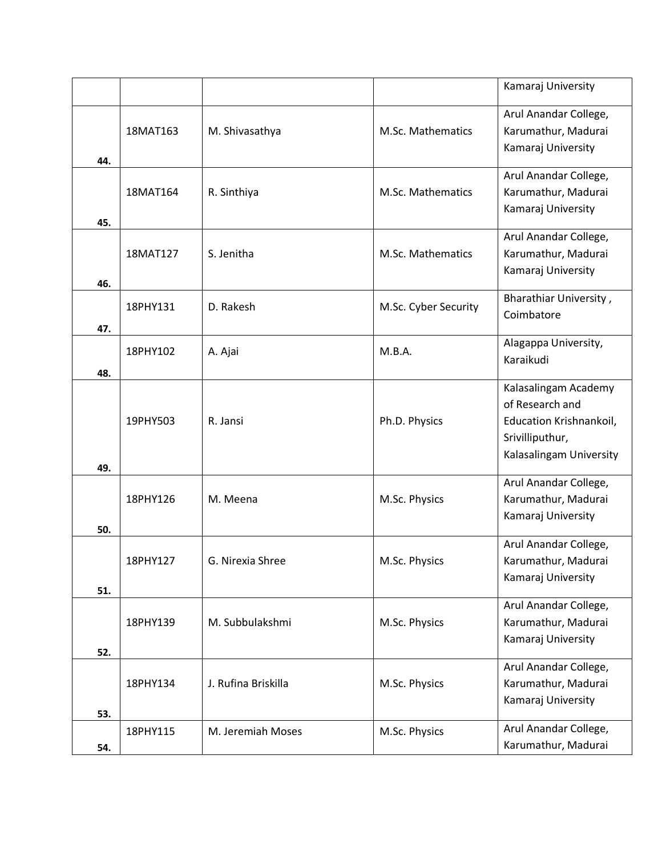|     |          |                     |                      | Kamaraj University                                                                                               |
|-----|----------|---------------------|----------------------|------------------------------------------------------------------------------------------------------------------|
| 44. | 18MAT163 | M. Shivasathya      | M.Sc. Mathematics    | Arul Anandar College,<br>Karumathur, Madurai<br>Kamaraj University                                               |
| 45. | 18MAT164 | R. Sinthiya         | M.Sc. Mathematics    | Arul Anandar College,<br>Karumathur, Madurai<br>Kamaraj University                                               |
| 46. | 18MAT127 | S. Jenitha          | M.Sc. Mathematics    | Arul Anandar College,<br>Karumathur, Madurai<br>Kamaraj University                                               |
| 47. | 18PHY131 | D. Rakesh           | M.Sc. Cyber Security | Bharathiar University,<br>Coimbatore                                                                             |
| 48. | 18PHY102 | A. Ajai             | M.B.A.               | Alagappa University,<br>Karaikudi                                                                                |
| 49. | 19PHY503 | R. Jansi            | Ph.D. Physics        | Kalasalingam Academy<br>of Research and<br>Education Krishnankoil,<br>Srivilliputhur,<br>Kalasalingam University |
| 50. | 18PHY126 | M. Meena            | M.Sc. Physics        | Arul Anandar College,<br>Karumathur, Madurai<br>Kamaraj University                                               |
| 51. | 18PHY127 | G. Nirexia Shree    | M.Sc. Physics        | Arul Anandar College,<br>Karumathur, Madurai<br>Kamaraj University                                               |
| 52. | 18PHY139 | M. Subbulakshmi     | M.Sc. Physics        | Arul Anandar College,<br>Karumathur, Madurai<br>Kamaraj University                                               |
| 53. | 18PHY134 | J. Rufina Briskilla | M.Sc. Physics        | Arul Anandar College,<br>Karumathur, Madurai<br>Kamaraj University                                               |
| 54. | 18PHY115 | M. Jeremiah Moses   | M.Sc. Physics        | Arul Anandar College,<br>Karumathur, Madurai                                                                     |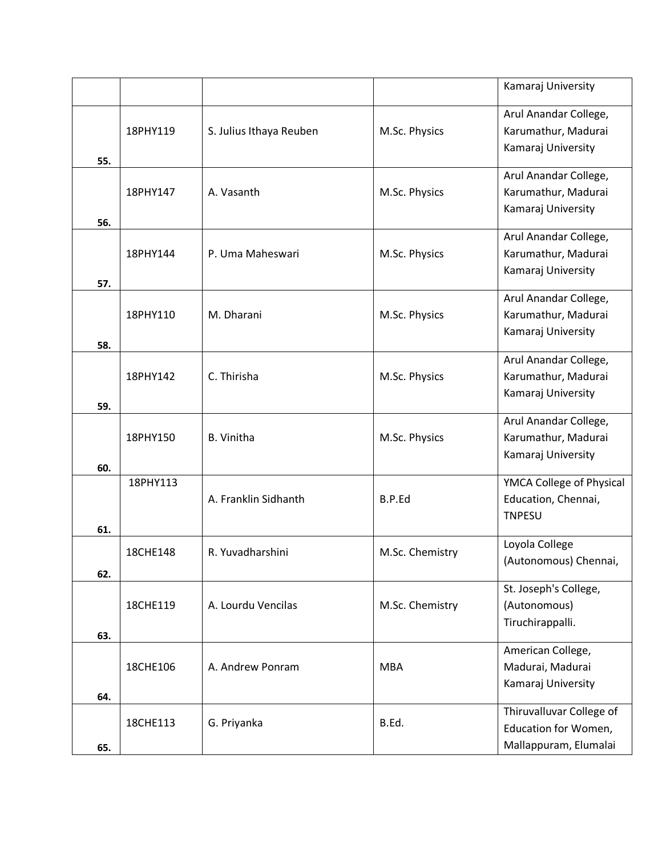|     |          |                         |                 | Kamaraj University                                                        |
|-----|----------|-------------------------|-----------------|---------------------------------------------------------------------------|
| 55. | 18PHY119 | S. Julius Ithaya Reuben | M.Sc. Physics   | Arul Anandar College,<br>Karumathur, Madurai<br>Kamaraj University        |
| 56. | 18PHY147 | A. Vasanth              | M.Sc. Physics   | Arul Anandar College,<br>Karumathur, Madurai<br>Kamaraj University        |
| 57. | 18PHY144 | P. Uma Maheswari        | M.Sc. Physics   | Arul Anandar College,<br>Karumathur, Madurai<br>Kamaraj University        |
| 58. | 18PHY110 | M. Dharani              | M.Sc. Physics   | Arul Anandar College,<br>Karumathur, Madurai<br>Kamaraj University        |
| 59. | 18PHY142 | C. Thirisha             | M.Sc. Physics   | Arul Anandar College,<br>Karumathur, Madurai<br>Kamaraj University        |
| 60. | 18PHY150 | <b>B.</b> Vinitha       | M.Sc. Physics   | Arul Anandar College,<br>Karumathur, Madurai<br>Kamaraj University        |
| 61. | 18PHY113 | A. Franklin Sidhanth    | B.P.Ed          | YMCA College of Physical<br>Education, Chennai,<br><b>TNPESU</b>          |
| 62. | 18CHE148 | R. Yuvadharshini        | M.Sc. Chemistry | Loyola College<br>(Autonomous) Chennai,                                   |
| 63. | 18CHE119 | A. Lourdu Vencilas      | M.Sc. Chemistry | St. Joseph's College,<br>(Autonomous)<br>Tiruchirappalli.                 |
| 64. | 18CHE106 | A. Andrew Ponram        | <b>MBA</b>      | American College,<br>Madurai, Madurai<br>Kamaraj University               |
| 65. | 18CHE113 | G. Priyanka             | B.Ed.           | Thiruvalluvar College of<br>Education for Women,<br>Mallappuram, Elumalai |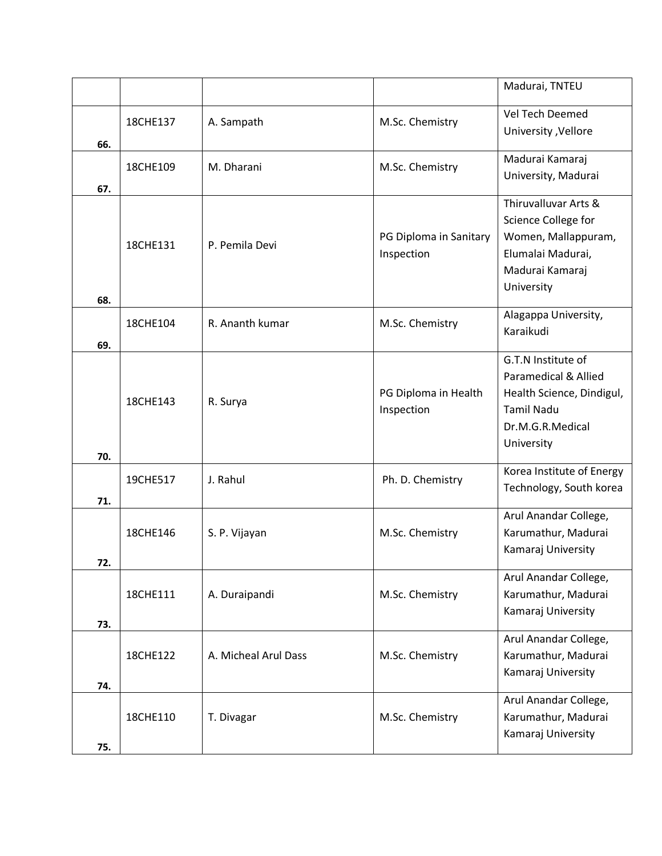|     |          |                      |                                      | Madurai, TNTEU                                                                                                                 |
|-----|----------|----------------------|--------------------------------------|--------------------------------------------------------------------------------------------------------------------------------|
| 66. | 18CHE137 | A. Sampath           | M.Sc. Chemistry                      | Vel Tech Deemed<br>University , Vellore                                                                                        |
| 67. | 18CHE109 | M. Dharani           | M.Sc. Chemistry                      | Madurai Kamaraj<br>University, Madurai                                                                                         |
| 68. | 18CHE131 | P. Pemila Devi       | PG Diploma in Sanitary<br>Inspection | Thiruvalluvar Arts &<br>Science College for<br>Women, Mallappuram,<br>Elumalai Madurai,<br>Madurai Kamaraj<br>University       |
| 69. | 18CHE104 | R. Ananth kumar      | M.Sc. Chemistry                      | Alagappa University,<br>Karaikudi                                                                                              |
| 70. | 18CHE143 | R. Surya             | PG Diploma in Health<br>Inspection   | G.T.N Institute of<br>Paramedical & Allied<br>Health Science, Dindigul,<br><b>Tamil Nadu</b><br>Dr.M.G.R.Medical<br>University |
| 71. | 19CHE517 | J. Rahul             | Ph. D. Chemistry                     | Korea Institute of Energy<br>Technology, South korea                                                                           |
| 72. | 18CHE146 | S. P. Vijayan        | M.Sc. Chemistry                      | Arul Anandar College,<br>Karumathur, Madurai<br>Kamaraj University                                                             |
| 73. | 18CHE111 | A. Duraipandi        | M.Sc. Chemistry                      | Arul Anandar College,<br>Karumathur, Madurai<br>Kamaraj University                                                             |
| 74. | 18CHE122 | A. Micheal Arul Dass | M.Sc. Chemistry                      | Arul Anandar College,<br>Karumathur, Madurai<br>Kamaraj University                                                             |
| 75. | 18CHE110 | T. Divagar           | M.Sc. Chemistry                      | Arul Anandar College,<br>Karumathur, Madurai<br>Kamaraj University                                                             |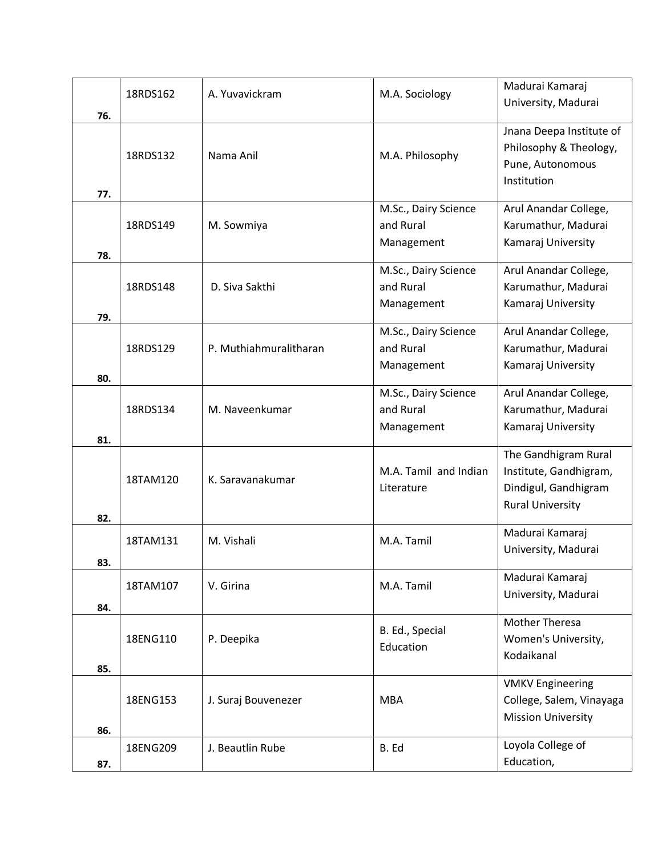|     | 18RDS162 | A. Yuvavickram         | M.A. Sociology        | Madurai Kamaraj           |
|-----|----------|------------------------|-----------------------|---------------------------|
|     |          |                        |                       | University, Madurai       |
| 76. |          |                        |                       | Jnana Deepa Institute of  |
|     |          |                        |                       | Philosophy & Theology,    |
|     | 18RDS132 | Nama Anil              | M.A. Philosophy       | Pune, Autonomous          |
|     |          |                        |                       | Institution               |
| 77. |          |                        |                       |                           |
|     |          |                        | M.Sc., Dairy Science  | Arul Anandar College,     |
|     | 18RDS149 | M. Sowmiya             | and Rural             | Karumathur, Madurai       |
|     |          |                        | Management            | Kamaraj University        |
| 78. |          |                        |                       |                           |
|     |          |                        | M.Sc., Dairy Science  | Arul Anandar College,     |
|     | 18RDS148 | D. Siva Sakthi         | and Rural             | Karumathur, Madurai       |
| 79. |          |                        | Management            | Kamaraj University        |
|     |          |                        | M.Sc., Dairy Science  | Arul Anandar College,     |
|     | 18RDS129 | P. Muthiahmuralitharan | and Rural             | Karumathur, Madurai       |
|     |          |                        | Management            | Kamaraj University        |
| 80. |          |                        |                       |                           |
|     |          |                        | M.Sc., Dairy Science  | Arul Anandar College,     |
|     | 18RDS134 | M. Naveenkumar         | and Rural             | Karumathur, Madurai       |
|     |          |                        | Management            | Kamaraj University        |
| 81. |          |                        |                       |                           |
|     |          |                        |                       | The Gandhigram Rural      |
|     | 18TAM120 | K. Saravanakumar       | M.A. Tamil and Indian | Institute, Gandhigram,    |
|     |          |                        | Literature            | Dindigul, Gandhigram      |
| 82. |          |                        |                       | <b>Rural University</b>   |
|     |          |                        |                       | Madurai Kamaraj           |
|     | 18TAM131 | M. Vishali             | M.A. Tamil            | University, Madurai       |
| 83. |          |                        |                       |                           |
|     | 18TAM107 | V. Girina              | M.A. Tamil            | Madurai Kamaraj           |
|     |          |                        |                       | University, Madurai       |
| 84. |          |                        |                       | <b>Mother Theresa</b>     |
|     | 18ENG110 | P. Deepika             | B. Ed., Special       | Women's University,       |
|     |          |                        | Education             | Kodaikanal                |
| 85. |          |                        |                       |                           |
|     |          |                        |                       | <b>VMKV Engineering</b>   |
|     | 18ENG153 | J. Suraj Bouvenezer    | <b>MBA</b>            | College, Salem, Vinayaga  |
|     |          |                        |                       | <b>Mission University</b> |
| 86. |          |                        |                       |                           |
|     | 18ENG209 | J. Beautlin Rube       | B. Ed                 | Loyola College of         |
| 87. |          |                        |                       | Education,                |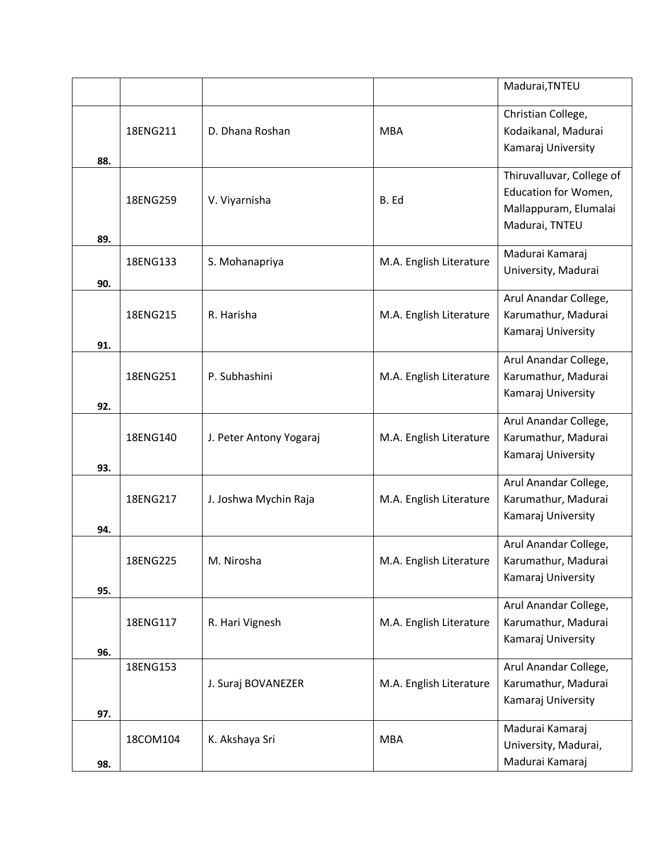|     |          |                         |                         | Madurai, TNTEU                                                                               |
|-----|----------|-------------------------|-------------------------|----------------------------------------------------------------------------------------------|
| 88. | 18ENG211 | D. Dhana Roshan         | <b>MBA</b>              | Christian College,<br>Kodaikanal, Madurai<br>Kamaraj University                              |
| 89. | 18ENG259 | V. Viyarnisha           | B. Ed                   | Thiruvalluvar, College of<br>Education for Women,<br>Mallappuram, Elumalai<br>Madurai, TNTEU |
| 90. | 18ENG133 | S. Mohanapriya          | M.A. English Literature | Madurai Kamaraj<br>University, Madurai                                                       |
| 91. | 18ENG215 | R. Harisha              | M.A. English Literature | Arul Anandar College,<br>Karumathur, Madurai<br>Kamaraj University                           |
| 92. | 18ENG251 | P. Subhashini           | M.A. English Literature | Arul Anandar College,<br>Karumathur, Madurai<br>Kamaraj University                           |
| 93. | 18ENG140 | J. Peter Antony Yogaraj | M.A. English Literature | Arul Anandar College,<br>Karumathur, Madurai<br>Kamaraj University                           |
| 94. | 18ENG217 | J. Joshwa Mychin Raja   | M.A. English Literature | Arul Anandar College,<br>Karumathur, Madurai<br>Kamaraj University                           |
| 95. | 18ENG225 | M. Nirosha              | M.A. English Literature | Arul Anandar College,<br>Karumathur, Madurai<br>Kamaraj University                           |
| 96. | 18ENG117 | R. Hari Vignesh         | M.A. English Literature | Arul Anandar College,<br>Karumathur, Madurai<br>Kamaraj University                           |
| 97. | 18ENG153 | J. Suraj BOVANEZER      | M.A. English Literature | Arul Anandar College,<br>Karumathur, Madurai<br>Kamaraj University                           |
| 98. | 18COM104 | K. Akshaya Sri          | <b>MBA</b>              | Madurai Kamaraj<br>University, Madurai,<br>Madurai Kamaraj                                   |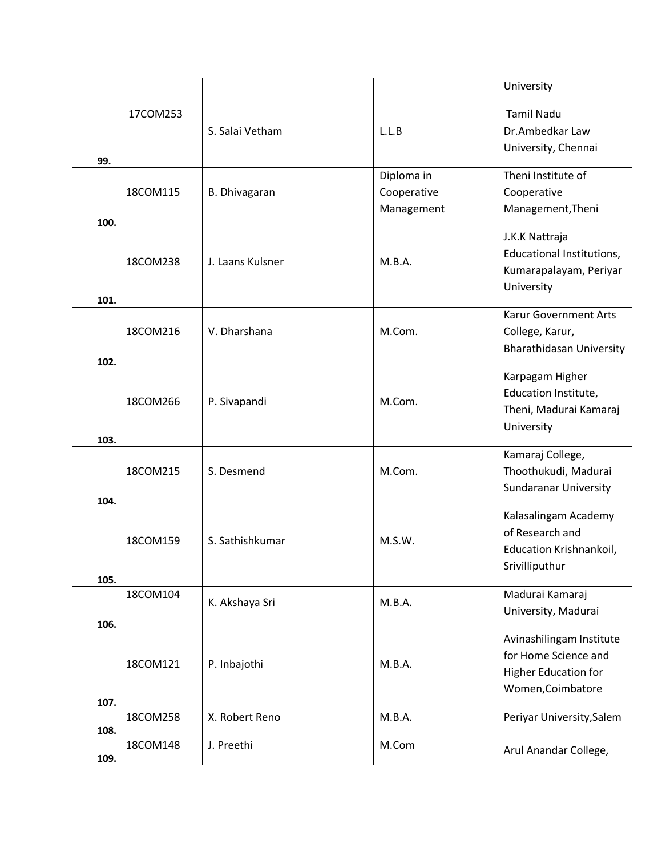|              |          |                      |                                         | University                                                                                           |
|--------------|----------|----------------------|-----------------------------------------|------------------------------------------------------------------------------------------------------|
| 99.          | 17COM253 | S. Salai Vetham      | L.L.B                                   | <b>Tamil Nadu</b><br>Dr.Ambedkar Law<br>University, Chennai                                          |
| 100.         | 18COM115 | <b>B.</b> Dhivagaran | Diploma in<br>Cooperative<br>Management | Theni Institute of<br>Cooperative<br>Management, Theni                                               |
|              | 18COM238 | J. Laans Kulsner     | M.B.A.                                  | J.K.K Nattraja<br>Educational Institutions,<br>Kumarapalayam, Periyar<br>University                  |
| 101.<br>102. | 18COM216 | V. Dharshana         | M.Com.                                  | <b>Karur Government Arts</b><br>College, Karur,<br><b>Bharathidasan University</b>                   |
| 103.         | 18COM266 | P. Sivapandi         | M.Com.                                  | Karpagam Higher<br>Education Institute,<br>Theni, Madurai Kamaraj<br>University                      |
| 104.         | 18COM215 | S. Desmend           | M.Com.                                  | Kamaraj College,<br>Thoothukudi, Madurai<br><b>Sundaranar University</b>                             |
| 105.         | 18COM159 | S. Sathishkumar      | M.S.W.                                  | Kalasalingam Academy<br>of Research and<br>Education Krishnankoil,<br>Srivilliputhur                 |
| 106.         | 18COM104 | K. Akshaya Sri       | M.B.A.                                  | Madurai Kamaraj<br>University, Madurai                                                               |
| 107.         | 18COM121 | P. Inbajothi         | M.B.A.                                  | Avinashilingam Institute<br>for Home Science and<br><b>Higher Education for</b><br>Women, Coimbatore |
| 108.         | 18COM258 | X. Robert Reno       | M.B.A.                                  | Periyar University, Salem                                                                            |
| 109.         | 18COM148 | J. Preethi           | M.Com                                   | Arul Anandar College,                                                                                |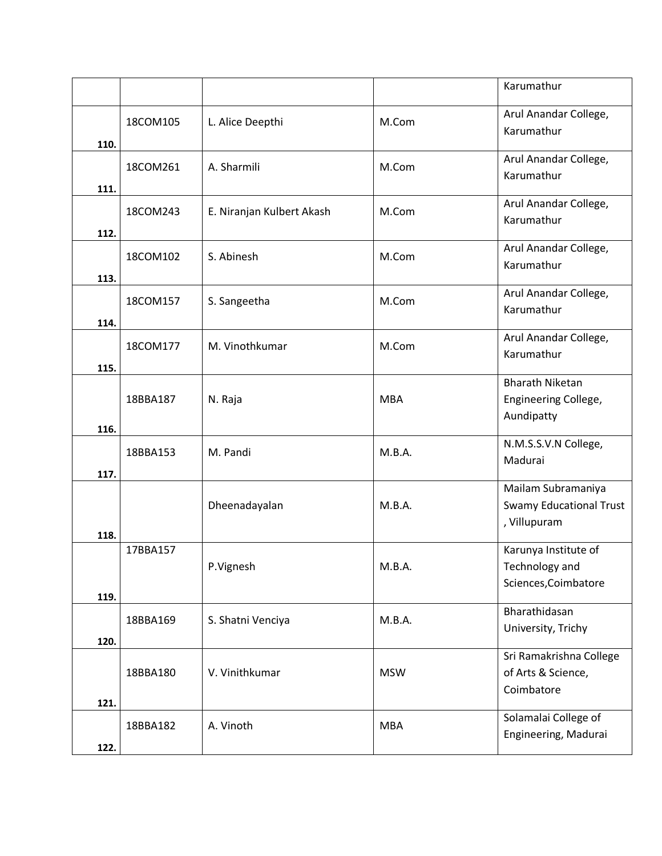|      |          |                           |            | Karumathur                                                           |
|------|----------|---------------------------|------------|----------------------------------------------------------------------|
| 110. | 18COM105 | L. Alice Deepthi          | M.Com      | Arul Anandar College,<br>Karumathur                                  |
| 111. | 18COM261 | A. Sharmili               | M.Com      | Arul Anandar College,<br>Karumathur                                  |
| 112. | 18COM243 | E. Niranjan Kulbert Akash | M.Com      | Arul Anandar College,<br>Karumathur                                  |
| 113. | 18COM102 | S. Abinesh                | M.Com      | Arul Anandar College,<br>Karumathur                                  |
| 114. | 18COM157 | S. Sangeetha              | M.Com      | Arul Anandar College,<br>Karumathur                                  |
| 115. | 18COM177 | M. Vinothkumar            | M.Com      | Arul Anandar College,<br>Karumathur                                  |
| 116. | 18BBA187 | N. Raja                   | <b>MBA</b> | <b>Bharath Niketan</b><br>Engineering College,<br>Aundipatty         |
| 117. | 18BBA153 | M. Pandi                  | M.B.A.     | N.M.S.S.V.N College,<br>Madurai                                      |
| 118. |          | Dheenadayalan             | M.B.A.     | Mailam Subramaniya<br><b>Swamy Educational Trust</b><br>, Villupuram |
| 119. | 17BBA157 | P.Vignesh                 | M.B.A.     | Karunya Institute of<br>Technology and<br>Sciences, Coimbatore       |
| 120. | 18BBA169 | S. Shatni Venciya         | M.B.A.     | Bharathidasan<br>University, Trichy                                  |
| 121. | 18BBA180 | V. Vinithkumar            | <b>MSW</b> | Sri Ramakrishna College<br>of Arts & Science,<br>Coimbatore          |
| 122. | 18BBA182 | A. Vinoth                 | <b>MBA</b> | Solamalai College of<br>Engineering, Madurai                         |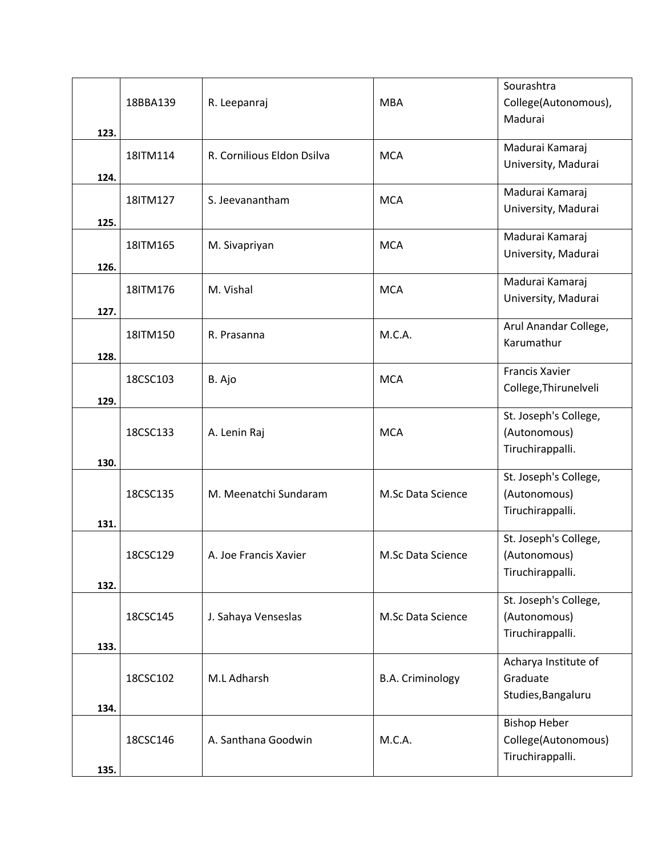|      |          |                            |                         | Sourashtra            |
|------|----------|----------------------------|-------------------------|-----------------------|
|      | 18BBA139 | R. Leepanraj               | <b>MBA</b>              | College(Autonomous),  |
|      |          |                            |                         | Madurai               |
| 123. |          |                            |                         |                       |
|      | 18ITM114 | R. Cornilious Eldon Dsilva | <b>MCA</b>              | Madurai Kamaraj       |
|      |          |                            |                         | University, Madurai   |
| 124. |          |                            |                         |                       |
|      | 18ITM127 | S. Jeevanantham            | <b>MCA</b>              | Madurai Kamaraj       |
| 125. |          |                            |                         | University, Madurai   |
|      |          |                            |                         | Madurai Kamaraj       |
|      | 18ITM165 | M. Sivapriyan              | <b>MCA</b>              | University, Madurai   |
| 126. |          |                            |                         |                       |
|      |          |                            |                         | Madurai Kamaraj       |
|      | 18ITM176 | M. Vishal                  | <b>MCA</b>              | University, Madurai   |
| 127. |          |                            |                         |                       |
|      |          |                            | M.C.A.                  | Arul Anandar College, |
|      | 18ITM150 | R. Prasanna                |                         | Karumathur            |
| 128. |          |                            |                         |                       |
|      | 18CSC103 | B. Ajo                     | <b>MCA</b>              | Francis Xavier        |
|      |          |                            |                         | College, Thirunelveli |
| 129. |          |                            |                         |                       |
|      |          |                            |                         | St. Joseph's College, |
|      | 18CSC133 | A. Lenin Raj               | <b>MCA</b>              | (Autonomous)          |
|      |          |                            |                         | Tiruchirappalli.      |
| 130. |          |                            |                         | St. Joseph's College, |
|      |          |                            |                         |                       |
|      | 18CSC135 | M. Meenatchi Sundaram      | M.Sc Data Science       | (Autonomous)          |
| 131. |          |                            |                         | Tiruchirappalli.      |
|      |          |                            |                         | St. Joseph's College, |
|      | 18CSC129 | A. Joe Francis Xavier      | M.Sc Data Science       | (Autonomous)          |
|      |          |                            |                         | Tiruchirappalli.      |
| 132. |          |                            |                         |                       |
|      |          |                            |                         | St. Joseph's College, |
|      | 18CSC145 | J. Sahaya Venseslas        | M.Sc Data Science       | (Autonomous)          |
|      |          |                            |                         | Tiruchirappalli.      |
| 133. |          |                            |                         |                       |
|      |          |                            |                         | Acharya Institute of  |
|      | 18CSC102 | M.L Adharsh                | <b>B.A. Criminology</b> | Graduate              |
|      |          |                            |                         | Studies, Bangaluru    |
| 134. |          |                            |                         |                       |
|      |          |                            |                         | <b>Bishop Heber</b>   |
|      | 18CSC146 | A. Santhana Goodwin        | M.C.A.                  | College(Autonomous)   |
|      |          |                            |                         | Tiruchirappalli.      |
| 135. |          |                            |                         |                       |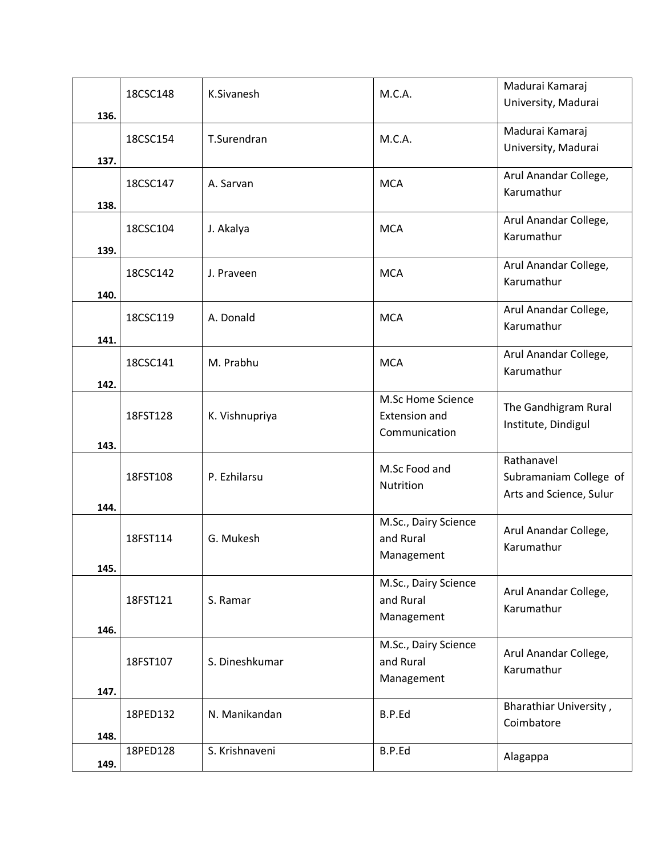|      | 18CSC148 | K.Sivanesh     | M.C.A.               | Madurai Kamaraj         |
|------|----------|----------------|----------------------|-------------------------|
|      |          |                |                      | University, Madurai     |
| 136. |          |                |                      |                         |
|      | 18CSC154 | T.Surendran    | M.C.A.               | Madurai Kamaraj         |
| 137. |          |                |                      | University, Madurai     |
|      |          |                |                      | Arul Anandar College,   |
|      | 18CSC147 | A. Sarvan      | <b>MCA</b>           | Karumathur              |
| 138. |          |                |                      |                         |
|      | 18CSC104 | J. Akalya      | <b>MCA</b>           | Arul Anandar College,   |
|      |          |                |                      | Karumathur              |
| 139. |          |                |                      | Arul Anandar College,   |
|      | 18CSC142 | J. Praveen     | <b>MCA</b>           | Karumathur              |
| 140. |          |                |                      |                         |
|      |          | A. Donald      |                      | Arul Anandar College,   |
|      | 18CSC119 |                | <b>MCA</b>           | Karumathur              |
| 141. |          |                |                      |                         |
|      | 18CSC141 | M. Prabhu      | <b>MCA</b>           | Arul Anandar College,   |
| 142. |          |                |                      | Karumathur              |
|      |          |                | M.Sc Home Science    |                         |
|      | 18FST128 | K. Vishnupriya | <b>Extension and</b> | The Gandhigram Rural    |
|      |          |                | Communication        | Institute, Dindigul     |
| 143. |          |                |                      |                         |
|      |          |                | M.Sc Food and        | Rathanavel              |
|      | 18FST108 | P. Ezhilarsu   | Nutrition            | Subramaniam College of  |
|      |          |                |                      | Arts and Science, Sulur |
| 144. |          |                | M.Sc., Dairy Science |                         |
|      | 18FST114 | G. Mukesh      | and Rural            | Arul Anandar College,   |
|      |          |                | Management           | Karumathur              |
| 145. |          |                |                      |                         |
|      |          |                | M.Sc., Dairy Science | Arul Anandar College,   |
|      | 18FST121 | S. Ramar       | and Rural            | Karumathur              |
|      |          |                | Management           |                         |
| 146. |          |                |                      |                         |
|      |          |                | M.Sc., Dairy Science | Arul Anandar College,   |
|      | 18FST107 | S. Dineshkumar | and Rural            | Karumathur              |
| 147. |          |                | Management           |                         |
|      |          |                |                      | Bharathiar University,  |
|      | 18PED132 | N. Manikandan  | B.P.Ed               | Coimbatore              |
| 148. |          |                |                      |                         |
|      | 18PED128 | S. Krishnaveni | B.P.Ed               | Alagappa                |
| 149. |          |                |                      |                         |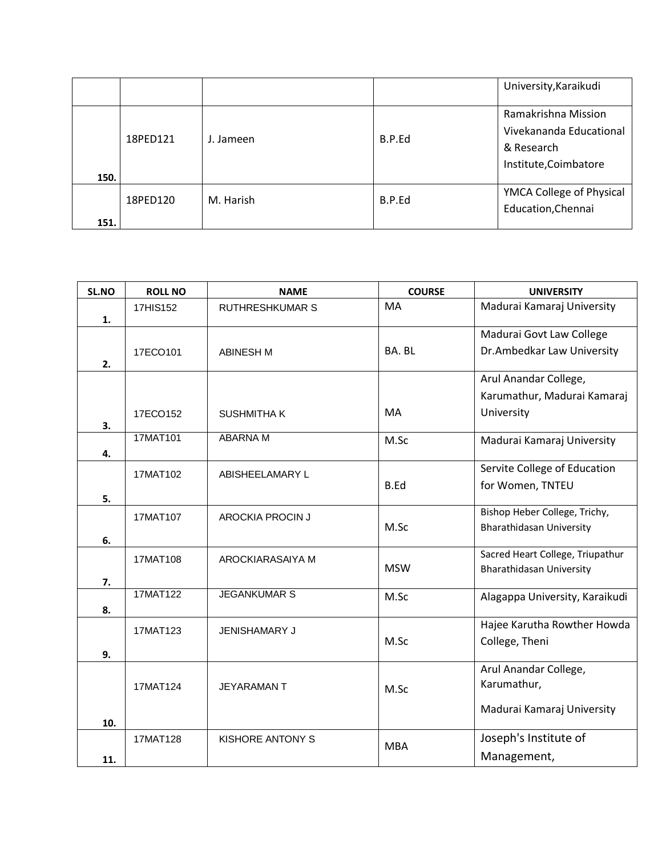|      |          |           |        | University, Karaikudi                                                                 |
|------|----------|-----------|--------|---------------------------------------------------------------------------------------|
| 150. | 18PED121 | J. Jameen | B.P.Ed | Ramakrishna Mission<br>Vivekananda Educational<br>& Research<br>Institute, Coimbatore |
| 151. | 18PED120 | M. Harish | B.P.Ed | YMCA College of Physical<br>Education, Chennai                                        |

| SL.NO | <b>ROLL NO</b> | <b>NAME</b>             | <b>COURSE</b> | <b>UNIVERSITY</b>                |
|-------|----------------|-------------------------|---------------|----------------------------------|
|       | 17HIS152       | <b>RUTHRESHKUMAR S</b>  | <b>MA</b>     | Madurai Kamaraj University       |
| 1.    |                |                         |               |                                  |
|       |                |                         |               | Madurai Govt Law College         |
|       | 17ECO101       | <b>ABINESH M</b>        | BA. BL        | Dr.Ambedkar Law University       |
| 2.    |                |                         |               |                                  |
|       |                |                         |               | Arul Anandar College,            |
|       |                |                         |               | Karumathur, Madurai Kamaraj      |
|       | 17ECO152       | <b>SUSHMITHAK</b>       | MA            | University                       |
| 3.    | 17MAT101       | <b>ABARNAM</b>          |               |                                  |
|       |                |                         | M.Sc          | Madurai Kamaraj University       |
| 4.    |                |                         |               | Servite College of Education     |
|       | 17MAT102       | ABISHEELAMARY L         |               |                                  |
| 5.    |                |                         | B.Ed          | for Women, TNTEU                 |
|       |                |                         |               | Bishop Heber College, Trichy,    |
|       | 17MAT107       | <b>AROCKIA PROCIN J</b> | M.Sc          | <b>Bharathidasan University</b>  |
| 6.    |                |                         |               |                                  |
|       | 17MAT108       | AROCKIARASAIYA M        |               | Sacred Heart College, Triupathur |
|       |                |                         | <b>MSW</b>    | <b>Bharathidasan University</b>  |
| 7.    | 17MAT122       | <b>JEGANKUMAR S</b>     |               |                                  |
|       |                |                         | M.Sc          | Alagappa University, Karaikudi   |
| 8.    |                |                         |               | Hajee Karutha Rowther Howda      |
|       | 17MAT123       | <b>JENISHAMARY J</b>    | M.Sc          | College, Theni                   |
| 9.    |                |                         |               |                                  |
|       |                |                         |               | Arul Anandar College,            |
|       | 17MAT124       | <b>JEYARAMANT</b>       |               | Karumathur,                      |
|       |                |                         | M.Sc          |                                  |
|       |                |                         |               | Madurai Kamaraj University       |
| 10.   |                |                         |               |                                  |
|       | 17MAT128       | KISHORE ANTONY S        | <b>MBA</b>    | Joseph's Institute of            |
| 11.   |                |                         |               | Management,                      |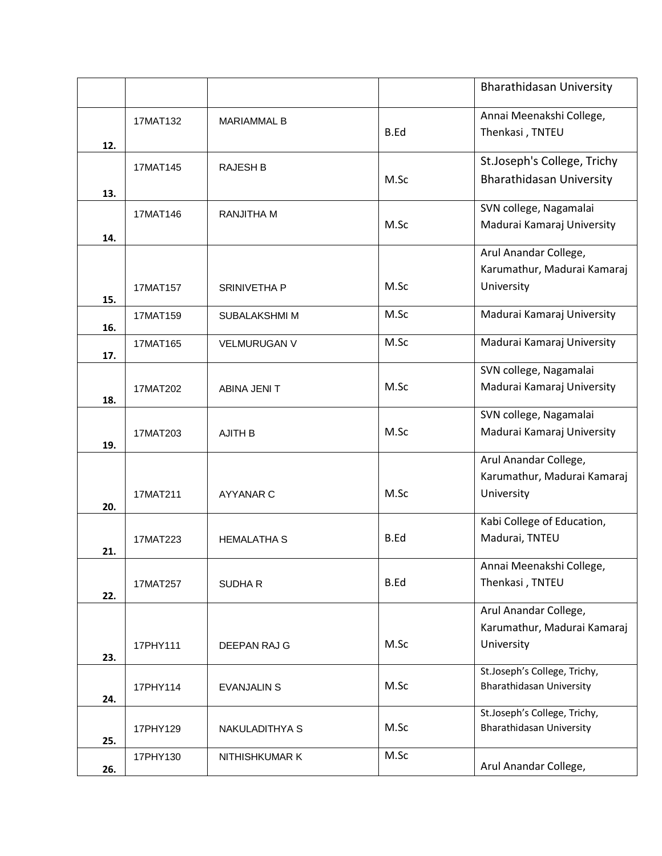|     |          |                     |      | Bharathidasan University                                           |
|-----|----------|---------------------|------|--------------------------------------------------------------------|
| 12. | 17MAT132 | <b>MARIAMMAL B</b>  | B.Ed | Annai Meenakshi College,<br>Thenkasi, TNTEU                        |
| 13. | 17MAT145 | <b>RAJESH B</b>     | M.Sc | St.Joseph's College, Trichy<br><b>Bharathidasan University</b>     |
| 14. | 17MAT146 | <b>RANJITHA M</b>   | M.Sc | SVN college, Nagamalai<br>Madurai Kamaraj University               |
| 15. | 17MAT157 | SRINIVETHA P        | M.Sc | Arul Anandar College,<br>Karumathur, Madurai Kamaraj<br>University |
| 16. | 17MAT159 | SUBALAKSHMI M       | M.Sc | Madurai Kamaraj University                                         |
| 17. | 17MAT165 | <b>VELMURUGAN V</b> | M.Sc | Madurai Kamaraj University                                         |
| 18. | 17MAT202 | ABINA JENI T        | M.Sc | SVN college, Nagamalai<br>Madurai Kamaraj University               |
| 19. | 17MAT203 | <b>AJITH B</b>      | M.Sc | SVN college, Nagamalai<br>Madurai Kamaraj University               |
| 20. | 17MAT211 | AYYANAR C           | M.Sc | Arul Anandar College,<br>Karumathur, Madurai Kamaraj<br>University |
| 21. | 17MAT223 | <b>HEMALATHA S</b>  | B.Ed | Kabi College of Education,<br>Madurai, TNTEU                       |
| 22. | 17MAT257 | <b>SUDHAR</b>       | B.Ed | Annai Meenakshi College,<br>Thenkasi, TNTEU                        |
| 23. | 17PHY111 | DEEPAN RAJ G        | M.Sc | Arul Anandar College,<br>Karumathur, Madurai Kamaraj<br>University |
| 24. | 17PHY114 | <b>EVANJALIN S</b>  | M.Sc | St.Joseph's College, Trichy,<br>Bharathidasan University           |
| 25. | 17PHY129 | NAKULADITHYA S      | M.Sc | St.Joseph's College, Trichy,<br><b>Bharathidasan University</b>    |
| 26. | 17PHY130 | NITHISHKUMAR K      | M.Sc | Arul Anandar College,                                              |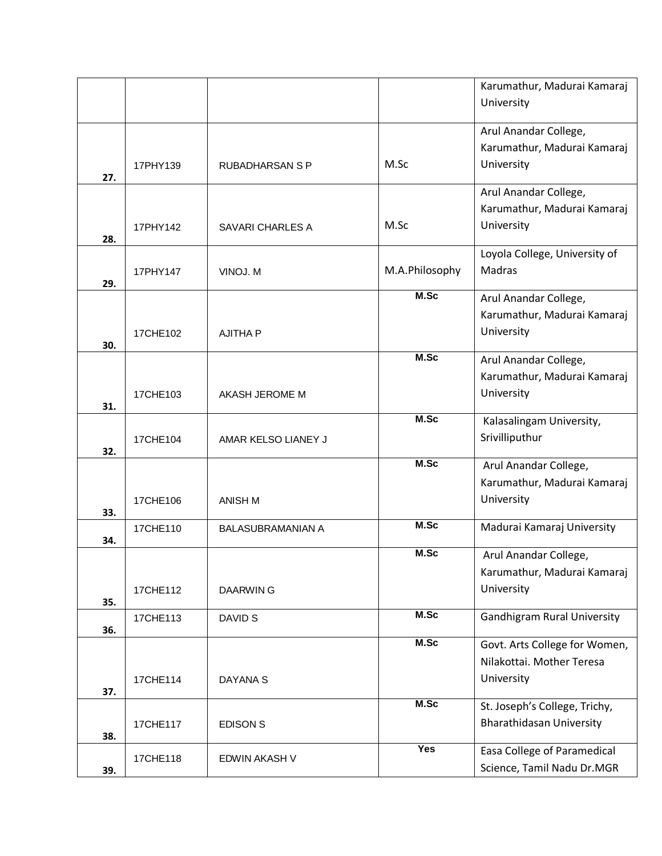|     |          |                          |                | Karumathur, Madurai Kamaraj                          |
|-----|----------|--------------------------|----------------|------------------------------------------------------|
|     |          |                          |                | University                                           |
|     |          |                          |                |                                                      |
|     |          |                          |                | Arul Anandar College,                                |
|     |          |                          |                | Karumathur, Madurai Kamaraj                          |
| 27. | 17PHY139 | <b>RUBADHARSAN S P</b>   | M.Sc           | University                                           |
|     |          |                          |                | Arul Anandar College,                                |
|     |          |                          |                | Karumathur, Madurai Kamaraj                          |
|     | 17PHY142 | SAVARI CHARLES A         | M.Sc           | University                                           |
| 28. |          |                          |                |                                                      |
|     |          |                          |                | Loyola College, University of                        |
|     | 17PHY147 | VINOJ. M                 | M.A.Philosophy | Madras                                               |
| 29. |          |                          | M.Sc           |                                                      |
|     |          |                          |                | Arul Anandar College,<br>Karumathur, Madurai Kamaraj |
|     |          |                          |                | University                                           |
| 30. | 17CHE102 | <b>AJITHA P</b>          |                |                                                      |
|     |          |                          | M.Sc           | Arul Anandar College,                                |
|     |          |                          |                | Karumathur, Madurai Kamaraj                          |
|     | 17CHE103 | AKASH JEROME M           |                | University                                           |
| 31. |          |                          |                |                                                      |
|     |          |                          | M.Sc           | Kalasalingam University,                             |
| 32. | 17CHE104 | AMAR KELSO LIANEY J      |                | Srivilliputhur                                       |
|     |          |                          | M.Sc           | Arul Anandar College,                                |
|     |          |                          |                | Karumathur, Madurai Kamaraj                          |
|     | 17CHE106 | ANISH M                  |                | University                                           |
| 33. |          |                          |                |                                                      |
|     | 17CHE110 | <b>BALASUBRAMANIAN A</b> | M.Sc           | Madurai Kamaraj University                           |
| 34. |          |                          | M.Sc           | Arul Anandar College,                                |
|     |          |                          |                | Karumathur, Madurai Kamaraj                          |
|     |          |                          |                | University                                           |
| 35. | 17CHE112 | DAARWIN G                |                |                                                      |
|     | 17CHE113 | DAVID S                  | M.Sc           | <b>Gandhigram Rural University</b>                   |
| 36. |          |                          |                |                                                      |
|     |          |                          | M.Sc           | Govt. Arts College for Women,                        |
|     |          |                          |                | Nilakottai. Mother Teresa                            |
| 37. | 17CHE114 | DAYANA S                 |                | University                                           |
|     |          |                          | M.Sc           | St. Joseph's College, Trichy,                        |
|     | 17CHE117 | <b>EDISON S</b>          |                | <b>Bharathidasan University</b>                      |
| 38. |          |                          |                |                                                      |
|     | 17CHE118 | EDWIN AKASH V            | Yes            | <b>Easa College of Paramedical</b>                   |
| 39. |          |                          |                | Science, Tamil Nadu Dr.MGR                           |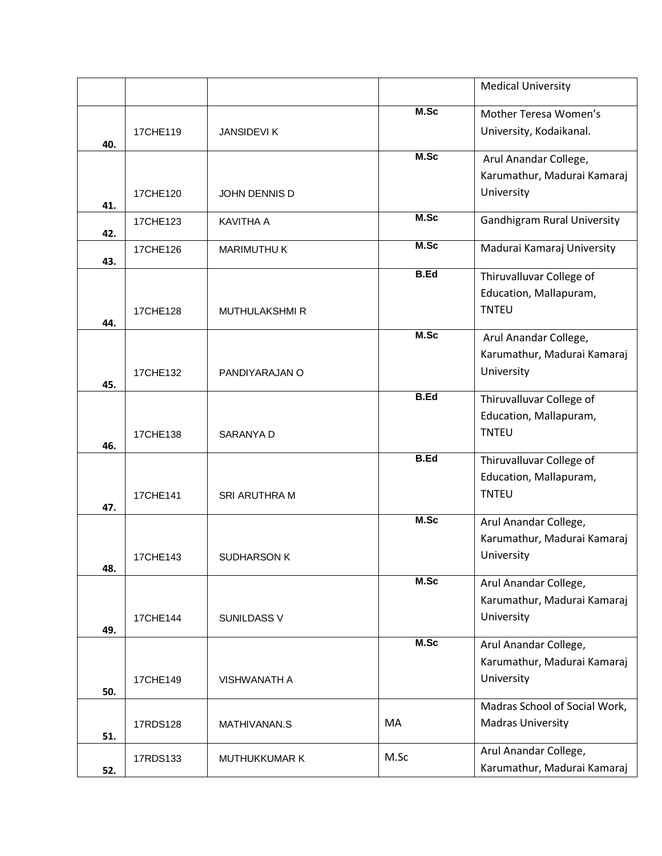|     |          |                      |             | <b>Medical University</b>                 |
|-----|----------|----------------------|-------------|-------------------------------------------|
|     |          |                      | M.Sc        | Mother Teresa Women's                     |
|     | 17CHE119 | <b>JANSIDEVIK</b>    |             | University, Kodaikanal.                   |
| 40. |          |                      |             |                                           |
|     |          |                      | M.Sc        | Arul Anandar College,                     |
|     |          |                      |             | Karumathur, Madurai Kamaraj               |
| 41. | 17CHE120 | JOHN DENNIS D        |             | University                                |
|     | 17CHE123 | <b>KAVITHA A</b>     | M.Sc        | <b>Gandhigram Rural University</b>        |
| 42. |          |                      | M.Sc        |                                           |
| 43. | 17CHE126 | <b>MARIMUTHU K</b>   |             | Madurai Kamaraj University                |
|     |          |                      | <b>B.Ed</b> | Thiruvalluvar College of                  |
|     |          |                      |             | Education, Mallapuram,                    |
|     | 17CHE128 | <b>MUTHULAKSHMIR</b> |             | <b>TNTEU</b>                              |
| 44. |          |                      | M.Sc        | Arul Anandar College,                     |
|     |          |                      |             | Karumathur, Madurai Kamaraj               |
|     | 17CHE132 | PANDIYARAJAN O       |             | University                                |
| 45. |          |                      |             |                                           |
|     |          |                      | <b>B.Ed</b> | Thiruvalluvar College of                  |
|     |          |                      |             | Education, Mallapuram,                    |
| 46. | 17CHE138 | SARANYA D            |             | <b>TNTEU</b>                              |
|     |          |                      | <b>B.Ed</b> | Thiruvalluvar College of                  |
|     |          |                      |             | Education, Mallapuram,                    |
|     | 17CHE141 | <b>SRI ARUTHRA M</b> |             | <b>TNTEU</b>                              |
| 47. |          |                      | M.Sc        | Arul Anandar College,                     |
|     |          |                      |             | Karumathur, Madurai Kamaraj               |
|     | 17CHE143 | SUDHARSON K          |             | University                                |
| 48. |          |                      | M.Sc        |                                           |
|     |          |                      |             | Arul Anandar College,                     |
|     |          |                      |             | Karumathur, Madurai Kamaraj<br>University |
| 49. | 17CHE144 | <b>SUNILDASS V</b>   |             |                                           |
|     |          |                      | M.Sc        | Arul Anandar College,                     |
|     |          |                      |             | Karumathur, Madurai Kamaraj               |
| 50. | 17CHE149 | VISHWANATH A         |             | University                                |
|     |          |                      |             | Madras School of Social Work,             |
|     | 17RDS128 | MATHIVANAN.S         | MA          | <b>Madras University</b>                  |
| 51. |          |                      |             |                                           |
|     | 17RDS133 | <b>MUTHUKKUMAR K</b> | M.Sc        | Arul Anandar College,                     |
| 52. |          |                      |             | Karumathur, Madurai Kamaraj               |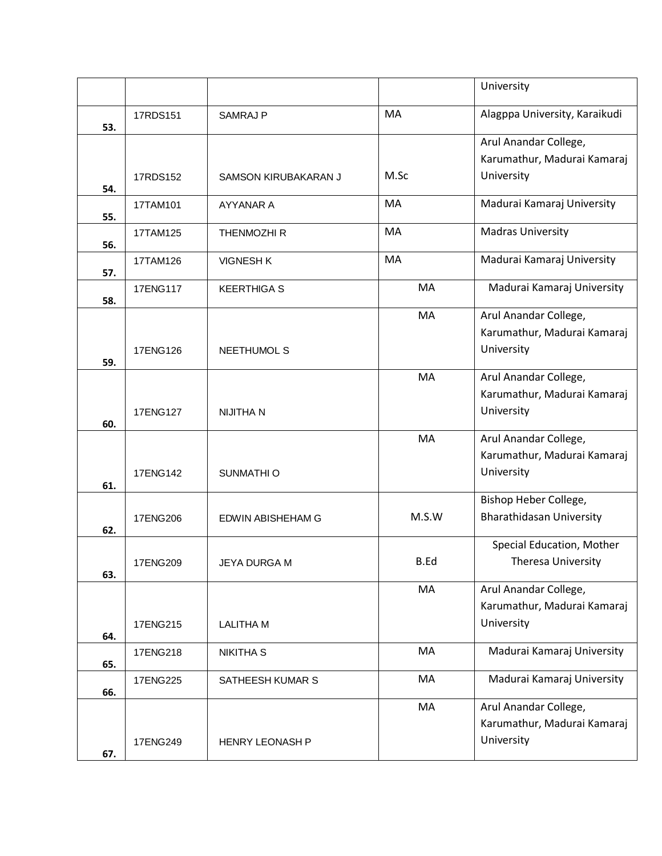|     |          |                          |       | University                                                         |
|-----|----------|--------------------------|-------|--------------------------------------------------------------------|
| 53. | 17RDS151 | <b>SAMRAJ P</b>          | MA    | Alagppa University, Karaikudi                                      |
|     |          |                          |       | Arul Anandar College,<br>Karumathur, Madurai Kamaraj               |
| 54. | 17RDS152 | SAMSON KIRUBAKARAN J     | M.Sc  | University                                                         |
| 55. | 17TAM101 | AYYANAR A                | MA    | Madurai Kamaraj University                                         |
| 56. | 17TAM125 | THENMOZHI R              | MA    | <b>Madras University</b>                                           |
| 57. | 17TAM126 | <b>VIGNESH K</b>         | MA    | Madurai Kamaraj University                                         |
| 58. | 17ENG117 | <b>KEERTHIGA S</b>       | MA    | Madurai Kamaraj University                                         |
| 59. | 17ENG126 | <b>NEETHUMOL S</b>       | MA    | Arul Anandar College,<br>Karumathur, Madurai Kamaraj<br>University |
| 60. | 17ENG127 | <b>NIJITHA N</b>         | MA    | Arul Anandar College,<br>Karumathur, Madurai Kamaraj<br>University |
| 61. | 17ENG142 | SUNMATHI O               | MA    | Arul Anandar College,<br>Karumathur, Madurai Kamaraj<br>University |
| 62. | 17ENG206 | <b>EDWIN ABISHEHAM G</b> | M.S.W | Bishop Heber College,<br><b>Bharathidasan University</b>           |
| 63. | 17ENG209 | JEYA DURGA M             | B.Ed  | Special Education, Mother<br>Theresa University                    |
| 64. | 17ENG215 | <b>LALITHA M</b>         | MA    | Arul Anandar College,<br>Karumathur, Madurai Kamaraj<br>University |
| 65. | 17ENG218 | <b>NIKITHA S</b>         | MA    | Madurai Kamaraj University                                         |
| 66. | 17ENG225 | SATHEESH KUMAR S         | MA    | Madurai Kamaraj University                                         |
| 67. | 17ENG249 | HENRY LEONASH P          | MA    | Arul Anandar College,<br>Karumathur, Madurai Kamaraj<br>University |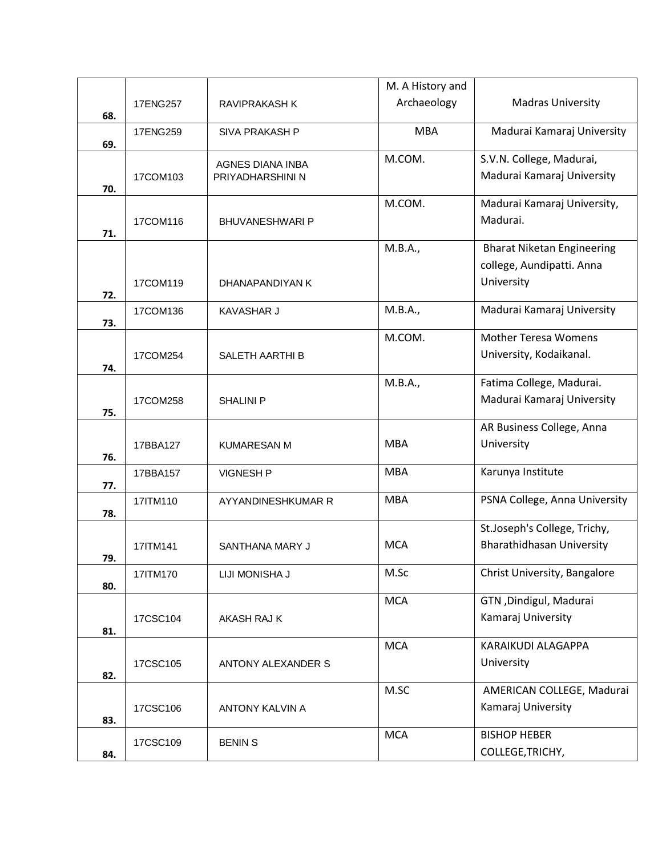|     |          |                         | M. A History and |                                   |
|-----|----------|-------------------------|------------------|-----------------------------------|
|     | 17ENG257 | <b>RAVIPRAKASH K</b>    | Archaeology      | <b>Madras University</b>          |
| 68. |          |                         | <b>MBA</b>       | Madurai Kamaraj University        |
| 69. | 17ENG259 | SIVA PRAKASH P          |                  |                                   |
|     |          | <b>AGNES DIANA INBA</b> | M.COM.           | S.V.N. College, Madurai,          |
|     | 17COM103 | PRIYADHARSHINI N        |                  | Madurai Kamaraj University        |
| 70. |          |                         |                  |                                   |
|     |          |                         | M.COM.           | Madurai Kamaraj University,       |
| 71. | 17COM116 | <b>BHUVANESHWARI P</b>  |                  | Madurai.                          |
|     |          |                         | M.B.A.,          | <b>Bharat Niketan Engineering</b> |
|     |          |                         |                  | college, Aundipatti. Anna         |
|     | 17COM119 | DHANAPANDIYAN K         |                  | University                        |
| 72. |          |                         |                  |                                   |
|     | 17COM136 | <b>KAVASHAR J</b>       | M.B.A.,          | Madurai Kamaraj University        |
| 73. |          |                         |                  |                                   |
|     |          |                         | M.COM.           | <b>Mother Teresa Womens</b>       |
| 74. | 17COM254 | <b>SALETH AARTHI B</b>  |                  | University, Kodaikanal.           |
|     |          |                         | M.B.A.,          | Fatima College, Madurai.          |
|     | 17COM258 | <b>SHALINI P</b>        |                  | Madurai Kamaraj University        |
| 75. |          |                         |                  |                                   |
|     |          |                         |                  | AR Business College, Anna         |
|     | 17BBA127 | <b>KUMARESAN M</b>      | <b>MBA</b>       | University                        |
| 76. |          |                         | <b>MBA</b>       |                                   |
| 77. | 17BBA157 | <b>VIGNESH P</b>        |                  | Karunya Institute                 |
|     | 17ITM110 | AYYANDINESHKUMAR R      | <b>MBA</b>       | PSNA College, Anna University     |
| 78. |          |                         |                  |                                   |
|     |          |                         |                  | St.Joseph's College, Trichy,      |
|     | 17ITM141 | SANTHANA MARY J         | <b>MCA</b>       | <b>Bharathidhasan University</b>  |
| 79. | 17ITM170 | LIJI MONISHA J          | M.Sc             | Christ University, Bangalore      |
| 80. |          |                         |                  |                                   |
|     |          |                         | <b>MCA</b>       | GTN, Dindigul, Madurai            |
|     | 17CSC104 | AKASH RAJ K             |                  | Kamaraj University                |
| 81. |          |                         |                  |                                   |
|     |          |                         | <b>MCA</b>       | KARAIKUDI ALAGAPPA                |
| 82. | 17CSC105 | ANTONY ALEXANDER S      |                  | University                        |
|     |          |                         | M.SC             | AMERICAN COLLEGE, Madurai         |
|     | 17CSC106 | ANTONY KALVIN A         |                  | Kamaraj University                |
| 83. |          |                         |                  |                                   |
|     | 17CSC109 | <b>BENIN S</b>          | <b>MCA</b>       | <b>BISHOP HEBER</b>               |
| 84. |          |                         |                  | COLLEGE, TRICHY,                  |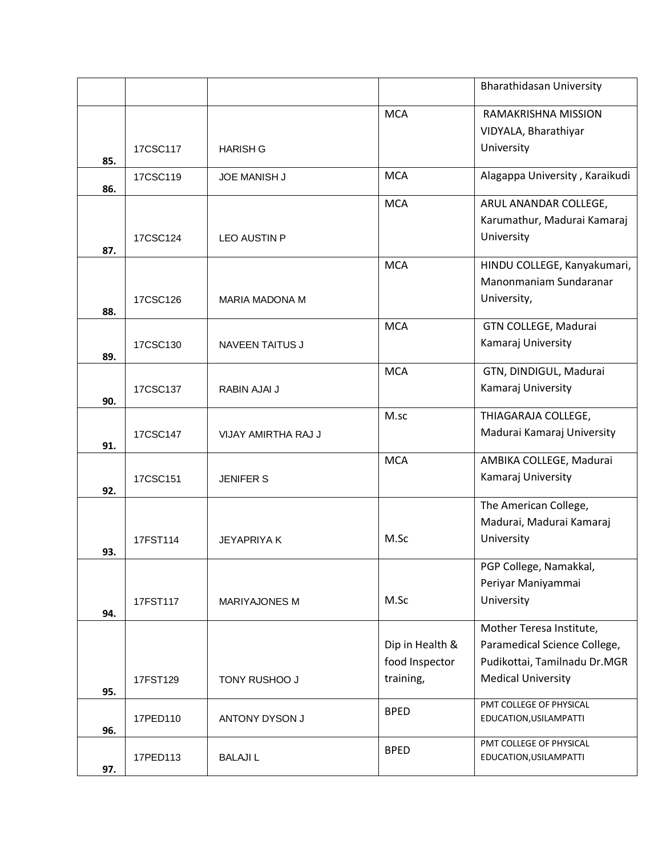|     |          |                        |                 | <b>Bharathidasan University</b> |
|-----|----------|------------------------|-----------------|---------------------------------|
|     |          |                        | <b>MCA</b>      | RAMAKRISHNA MISSION             |
|     |          |                        |                 | VIDYALA, Bharathiyar            |
| 85. | 17CSC117 | <b>HARISH G</b>        |                 | University                      |
| 86. | 17CSC119 | <b>JOE MANISH J</b>    | <b>MCA</b>      | Alagappa University, Karaikudi  |
|     |          |                        | <b>MCA</b>      | ARUL ANANDAR COLLEGE,           |
|     |          |                        |                 | Karumathur, Madurai Kamaraj     |
| 87. | 17CSC124 | <b>LEO AUSTIN P</b>    |                 | University                      |
|     |          |                        | <b>MCA</b>      | HINDU COLLEGE, Kanyakumari,     |
|     |          |                        |                 | Manonmaniam Sundaranar          |
| 88. | 17CSC126 | <b>MARIA MADONA M</b>  |                 | University,                     |
|     |          |                        | <b>MCA</b>      | GTN COLLEGE, Madurai            |
|     | 17CSC130 | <b>NAVEEN TAITUS J</b> |                 | Kamaraj University              |
| 89. |          |                        |                 |                                 |
|     |          |                        | <b>MCA</b>      | GTN, DINDIGUL, Madurai          |
| 90. | 17CSC137 | RABIN AJAI J           |                 | Kamaraj University              |
|     |          |                        | M.sc            | THIAGARAJA COLLEGE,             |
|     | 17CSC147 | VIJAY AMIRTHA RAJ J    |                 | Madurai Kamaraj University      |
| 91. |          |                        |                 |                                 |
|     |          |                        | <b>MCA</b>      | AMBIKA COLLEGE, Madurai         |
| 92. | 17CSC151 | <b>JENIFER S</b>       |                 | Kamaraj University              |
|     |          |                        |                 | The American College,           |
|     |          |                        |                 | Madurai, Madurai Kamaraj        |
|     | 17FST114 | <b>JEYAPRIYA K</b>     | M.Sc            | University                      |
| 93. |          |                        |                 | PGP College, Namakkal,          |
|     |          |                        |                 | Periyar Maniyammai              |
|     | 17FST117 | <b>MARIYAJONES M</b>   | M.Sc            | University                      |
| 94. |          |                        |                 |                                 |
|     |          |                        |                 | Mother Teresa Institute,        |
|     |          |                        | Dip in Health & | Paramedical Science College,    |
|     |          |                        | food Inspector  | Pudikottai, Tamilnadu Dr.MGR    |
| 95. | 17FST129 | TONY RUSHOO J          | training,       | <b>Medical University</b>       |
|     |          |                        | <b>BPED</b>     | PMT COLLEGE OF PHYSICAL         |
| 96. | 17PED110 | ANTONY DYSON J         |                 | EDUCATION, USILAMPATTI          |
|     |          |                        | <b>BPED</b>     | PMT COLLEGE OF PHYSICAL         |
| 97. | 17PED113 | <b>BALAJIL</b>         |                 | EDUCATION, USILAMPATTI          |
|     |          |                        |                 |                                 |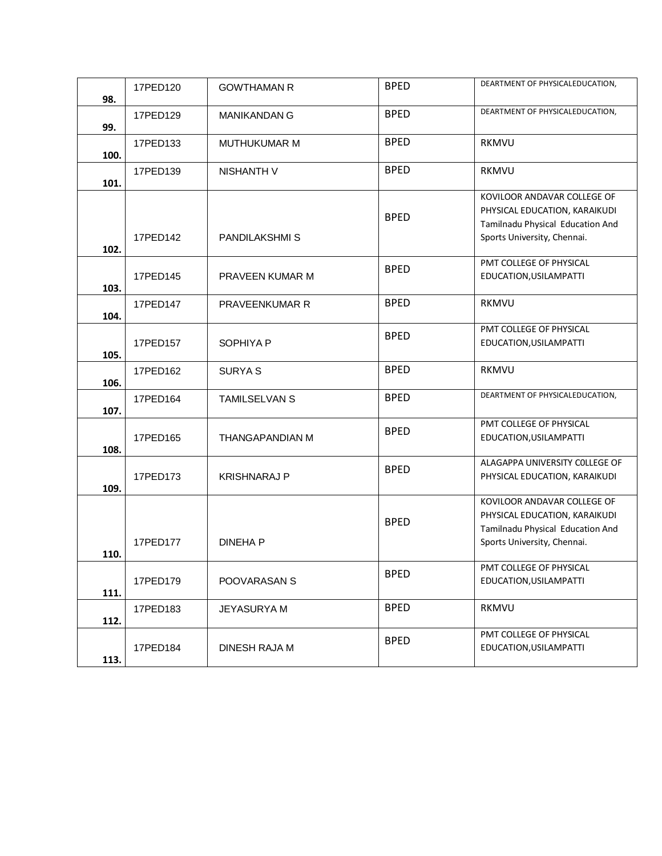| 98.  | 17PED120 | <b>GOWTHAMAN R</b>     | <b>BPED</b> | DEARTMENT OF PHYSICALEDUCATION,                                                                                                 |
|------|----------|------------------------|-------------|---------------------------------------------------------------------------------------------------------------------------------|
| 99.  | 17PED129 | <b>MANIKANDAN G</b>    | <b>BPED</b> | DEARTMENT OF PHYSICALEDUCATION,                                                                                                 |
| 100. | 17PED133 | <b>MUTHUKUMAR M</b>    | <b>BPED</b> | <b>RKMVU</b>                                                                                                                    |
| 101. | 17PED139 | NISHANTH V             | <b>BPED</b> | <b>RKMVU</b>                                                                                                                    |
| 102. | 17PED142 | <b>PANDILAKSHMI S</b>  | <b>BPED</b> | KOVILOOR ANDAVAR COLLEGE OF<br>PHYSICAL EDUCATION, KARAIKUDI<br>Tamilnadu Physical Education And<br>Sports University, Chennai. |
| 103. | 17PED145 | PRAVEEN KUMAR M        | <b>BPED</b> | PMT COLLEGE OF PHYSICAL<br>EDUCATION, USILAMPATTI                                                                               |
| 104. | 17PED147 | PRAVEENKUMAR R         | <b>BPED</b> | <b>RKMVU</b>                                                                                                                    |
| 105. | 17PED157 | SOPHIYA P              | <b>BPED</b> | PMT COLLEGE OF PHYSICAL<br>EDUCATION, USILAMPATTI                                                                               |
| 106. | 17PED162 | <b>SURYAS</b>          | <b>BPED</b> | RKMVU                                                                                                                           |
| 107. | 17PED164 | <b>TAMILSELVAN S</b>   | <b>BPED</b> | DEARTMENT OF PHYSICALEDUCATION,                                                                                                 |
| 108. | 17PED165 | <b>THANGAPANDIAN M</b> | <b>BPED</b> | PMT COLLEGE OF PHYSICAL<br>EDUCATION, USILAMPATTI                                                                               |
| 109. | 17PED173 | <b>KRISHNARAJ P</b>    | <b>BPED</b> | ALAGAPPA UNIVERSITY COLLEGE OF<br>PHYSICAL EDUCATION, KARAIKUDI                                                                 |
| 110. | 17PED177 | <b>DINEHA P</b>        | <b>BPED</b> | KOVILOOR ANDAVAR COLLEGE OF<br>PHYSICAL EDUCATION, KARAIKUDI<br>Tamilnadu Physical Education And<br>Sports University, Chennai. |
| 111. | 17PED179 | POOVARASAN S           | <b>BPED</b> | PMT COLLEGE OF PHYSICAL<br>EDUCATION, USILAMPATTI                                                                               |
| 112. | 17PED183 | <b>JEYASURYAM</b>      | <b>BPED</b> | <b>RKMVU</b>                                                                                                                    |
| 113. | 17PED184 | DINESH RAJA M          | <b>BPED</b> | PMT COLLEGE OF PHYSICAL<br>EDUCATION, USILAMPATTI                                                                               |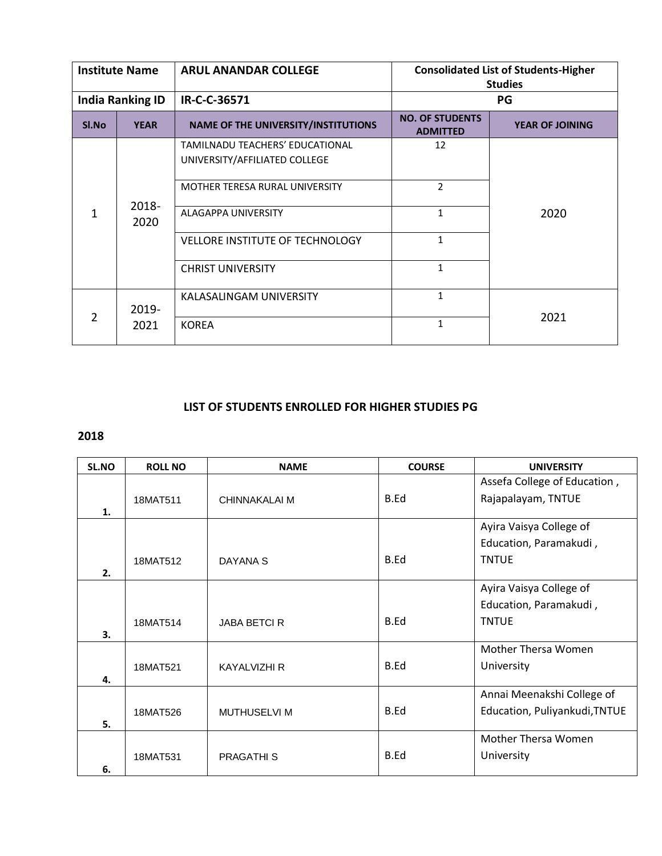| <b>Institute Name</b>   |               | <b>ARUL ANANDAR COLLEGE</b>                | <b>Consolidated List of Students-Higher</b><br><b>Studies</b> |                        |
|-------------------------|---------------|--------------------------------------------|---------------------------------------------------------------|------------------------|
| <b>India Ranking ID</b> |               | IR-C-C-36571                               | PG                                                            |                        |
| Sl.No                   | <b>YEAR</b>   | <b>NAME OF THE UNIVERSITY/INSTITUTIONS</b> | <b>NO. OF STUDENTS</b><br><b>ADMITTED</b>                     | <b>YEAR OF JOINING</b> |
|                         |               | TAMILNADU TEACHERS' EDUCATIONAL            | 12                                                            |                        |
|                         |               | UNIVERSITY/AFFILIATED COLLEGE              |                                                               |                        |
|                         |               | MOTHER TERESA RURAL UNIVERSITY             | $\overline{2}$                                                |                        |
| 1                       | 2018-<br>2020 | ALAGAPPA UNIVERSITY                        | $\mathbf{1}$                                                  | 2020                   |
|                         |               | <b>VELLORE INSTITUTE OF TECHNOLOGY</b>     | 1                                                             |                        |
|                         |               | <b>CHRIST UNIVERSITY</b>                   | 1                                                             |                        |
|                         | 2019-         | KALASALINGAM UNIVERSITY                    | $\mathbf{1}$                                                  |                        |
| 2                       | 2021          | <b>KOREA</b>                               | $\mathbf{1}$                                                  | 2021                   |

## **LIST OF STUDENTS ENROLLED FOR HIGHER STUDIES PG**

## **2018**

| SL.NO | <b>ROLL NO</b> | <b>NAME</b>         | <b>COURSE</b> | <b>UNIVERSITY</b>             |
|-------|----------------|---------------------|---------------|-------------------------------|
|       |                |                     |               | Assefa College of Education,  |
|       | 18MAT511       | CHINNAKALAI M       | <b>B.Ed</b>   | Rajapalayam, TNTUE            |
| 1.    |                |                     |               |                               |
|       |                |                     |               | Ayira Vaisya College of       |
|       |                |                     |               | Education, Paramakudi,        |
|       | 18MAT512       | DAYANA S            | B.Ed          | <b>TNTUE</b>                  |
| 2.    |                |                     |               |                               |
|       |                |                     |               | Ayira Vaisya College of       |
|       |                |                     |               | Education, Paramakudi,        |
|       | 18MAT514       | <b>JABA BETCI R</b> | B.Ed          | <b>TNTUE</b>                  |
| 3.    |                |                     |               |                               |
|       |                |                     |               | Mother Thersa Women           |
|       | 18MAT521       | <b>KAYALVIZHI R</b> | B.Ed          | University                    |
| 4.    |                |                     |               |                               |
|       |                |                     |               | Annai Meenakshi College of    |
|       | 18MAT526       | <b>MUTHUSELVI M</b> | B.Ed          | Education, Puliyankudi, TNTUE |
| 5.    |                |                     |               |                               |
|       |                |                     |               | Mother Thersa Women           |
|       | 18MAT531       | <b>PRAGATHIS</b>    | B.Ed          | University                    |
| 6.    |                |                     |               |                               |